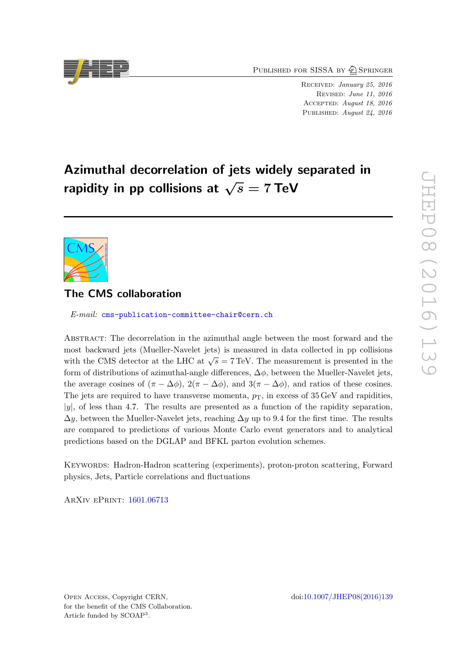PUBLISHED FOR SISSA BY 2 SPRINGER

Received: January 25, 2016 Revised: June 11, 2016 Accepted: August 18, 2016 PUBLISHED: August 24, 2016

# Azimuthal decorrelation of jets widely separated in rapidity in pp collisions at  $\sqrt{s} = 7$  TeV



## The CMS collaboration

E-mail: [cms-publication-committee-chair@cern.ch](mailto:cms-publication-committee-chair@cern.ch)

Abstract: The decorrelation in the azimuthal angle between the most forward and the most backward jets (Mueller-Navelet jets) is measured in data collected in pp collisions with the CMS detector at the LHC at  $\sqrt{s} = 7$  TeV. The measurement is presented in the form of distributions of azimuthal-angle differences,  $\Delta \phi$ , between the Mueller-Navelet jets, the average cosines of  $(\pi - \Delta \phi)$ ,  $2(\pi - \Delta \phi)$ , and  $3(\pi - \Delta \phi)$ , and ratios of these cosines. The jets are required to have transverse momenta,  $p<sub>T</sub>$ , in excess of 35 GeV and rapidities,  $|y|$ , of less than 4.7. The results are presented as a function of the rapidity separation,  $\Delta y$ , between the Mueller-Navelet jets, reaching  $\Delta y$  up to 9.4 for the first time. The results are compared to predictions of various Monte Carlo event generators and to analytical predictions based on the DGLAP and BFKL parton evolution schemes.

Keywords: Hadron-Hadron scattering (experiments), proton-proton scattering, Forward physics, Jets, Particle correlations and fluctuations

ArXiv ePrint: [1601.06713](http://arxiv.org/abs/1601.06713)

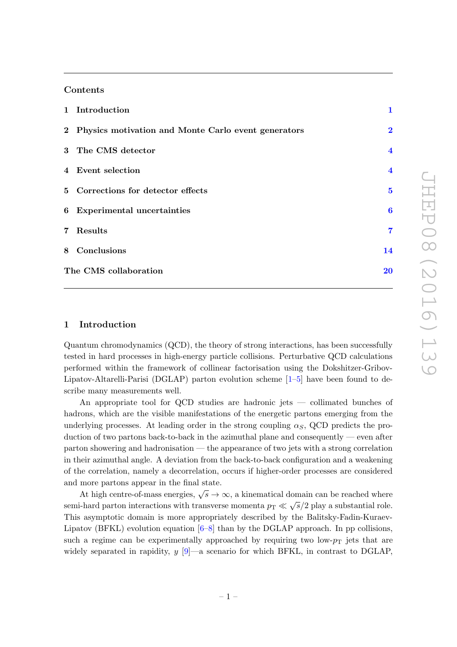### Contents

|                       | 1 Introduction                                        | $\mathbf 1$             |
|-----------------------|-------------------------------------------------------|-------------------------|
|                       | 2 Physics motivation and Monte Carlo event generators | $\bf{2}$                |
|                       | 3 The CMS detector                                    | $\overline{\mathbf{4}}$ |
|                       | 4 Event selection                                     | $\overline{\mathbf{4}}$ |
|                       | 5 Corrections for detector effects                    | $\bf{5}$                |
|                       | 6 Experimental uncertainties                          | $\bf{6}$                |
|                       | 7 Results                                             | $\overline{\mathbf{7}}$ |
|                       | 8 Conclusions                                         | 14                      |
| The CMS collaboration |                                                       |                         |

## <span id="page-1-0"></span>1 Introduction

Quantum chromodynamics (QCD), the theory of strong interactions, has been successfully tested in hard processes in high-energy particle collisions. Perturbative QCD calculations performed within the framework of collinear factorisation using the Dokshitzer-Gribov-Lipatov-Altarelli-Parisi (DGLAP) parton evolution scheme [\[1](#page-16-0)[–5\]](#page-16-1) have been found to describe many measurements well.

An appropriate tool for QCD studies are hadronic jets — collimated bunches of hadrons, which are the visible manifestations of the energetic partons emerging from the underlying processes. At leading order in the strong coupling  $\alpha_S$ , QCD predicts the production of two partons back-to-back in the azimuthal plane and consequently — even after parton showering and hadronisation — the appearance of two jets with a strong correlation in their azimuthal angle. A deviation from the back-to-back configuration and a weakening of the correlation, namely a decorrelation, occurs if higher-order processes are considered and more partons appear in the final state.

At high centre-of-mass energies,  $\sqrt{s} \to \infty$ , a kinematical domain can be reached where semi-hard parton interactions with transverse momenta  $p_T \ll \sqrt{s}/2$  play a substantial role. This asymptotic domain is more appropriately described by the Balitsky-Fadin-Kuraev-Lipatov (BFKL) evolution equation  $[6-8]$  $[6-8]$  than by the DGLAP approach. In pp collisions, such a regime can be experimentally approached by requiring two low- $p<sub>T</sub>$  jets that are widely separated in rapidity,  $y$  [\[9\]](#page-16-4)—a scenario for which BFKL, in contrast to DGLAP,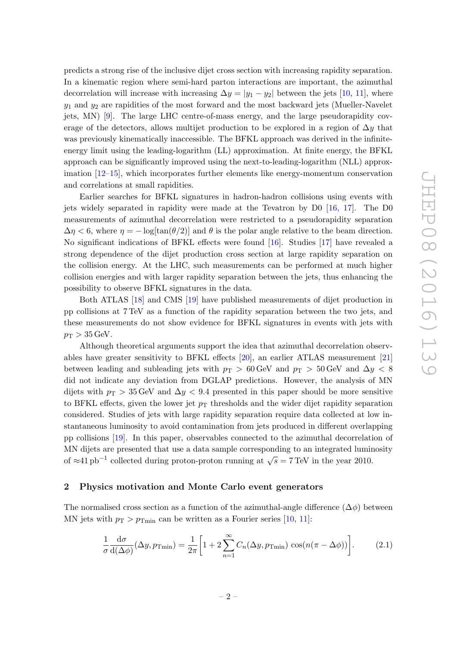predicts a strong rise of the inclusive dijet cross section with increasing rapidity separation. In a kinematic region where semi-hard parton interactions are important, the azimuthal decorrelation will increase with increasing  $\Delta y = |y_1 - y_2|$  between the jets [\[10,](#page-16-5) [11\]](#page-16-6), where  $y_1$  and  $y_2$  are rapidities of the most forward and the most backward jets (Mueller-Navelet jets, MN) [\[9\]](#page-16-4). The large LHC centre-of-mass energy, and the large pseudorapidity coverage of the detectors, allows multijet production to be explored in a region of  $\Delta y$  that was previously kinematically inaccessible. The BFKL approach was derived in the infiniteenergy limit using the leading-logarithm (LL) approximation. At finite energy, the BFKL approach can be significantly improved using the next-to-leading-logarithm (NLL) approximation [\[12–](#page-16-7)[15\]](#page-17-0), which incorporates further elements like energy-momentum conservation and correlations at small rapidities.

Earlier searches for BFKL signatures in hadron-hadron collisions using events with jets widely separated in rapidity were made at the Tevatron by D0 [\[16,](#page-17-1) [17\]](#page-17-2). The D0 measurements of azimuthal decorrelation were restricted to a pseudorapidity separation  $\Delta \eta < 6$ , where  $\eta = -\log[\tan(\theta/2)]$  and  $\theta$  is the polar angle relative to the beam direction. No significant indications of BFKL effects were found [\[16\]](#page-17-1). Studies [\[17\]](#page-17-2) have revealed a strong dependence of the dijet production cross section at large rapidity separation on the collision energy. At the LHC, such measurements can be performed at much higher collision energies and with larger rapidity separation between the jets, thus enhancing the possibility to observe BFKL signatures in the data.

Both ATLAS [\[18\]](#page-17-3) and CMS [\[19\]](#page-17-4) have published measurements of dijet production in pp collisions at 7 TeV as a function of the rapidity separation between the two jets, and these measurements do not show evidence for BFKL signatures in events with jets with  $p_T > 35$  GeV.

Although theoretical arguments support the idea that azimuthal decorrelation observables have greater sensitivity to BFKL effects [\[20\]](#page-17-5), an earlier ATLAS measurement [\[21\]](#page-17-6) between leading and subleading jets with  $p_T > 60$  GeV and  $p_T > 50$  GeV and  $\Delta y < 8$ did not indicate any deviation from DGLAP predictions. However, the analysis of MN dijets with  $p_T > 35$  GeV and  $\Delta y < 9.4$  presented in this paper should be more sensitive to BFKL effects, given the lower jet  $p<sub>T</sub>$  thresholds and the wider dijet rapidity separation considered. Studies of jets with large rapidity separation require data collected at low instantaneous luminosity to avoid contamination from jets produced in different overlapping pp collisions [\[19\]](#page-17-4). In this paper, observables connected to the azimuthal decorrelation of MN dijets are presented that use a data sample corresponding to an integrated luminosity of  $\approx$ 41 pb<sup>-1</sup> collected during proton-proton running at  $\sqrt{s}$  = 7 TeV in the year 2010.

#### <span id="page-2-0"></span>2 Physics motivation and Monte Carlo event generators

The normalised cross section as a function of the azimuthal-angle difference  $(\Delta \phi)$  between MN jets with  $p_T > p_{Tmin}$  can be written as a Fourier series [\[10,](#page-16-5) [11\]](#page-16-6):

$$
\frac{1}{\sigma} \frac{d\sigma}{d(\Delta\phi)} (\Delta y, p_{\text{Tmin}}) = \frac{1}{2\pi} \left[ 1 + 2 \sum_{n=1}^{\infty} C_n(\Delta y, p_{\text{Tmin}}) \cos(n(\pi - \Delta\phi)) \right].
$$
 (2.1)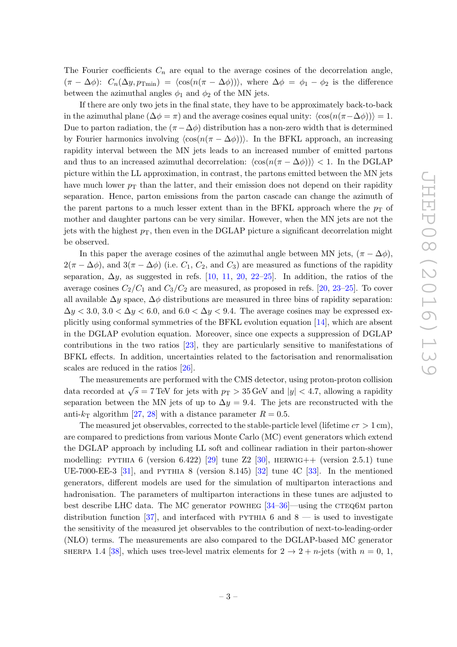The Fourier coefficients  $C_n$  are equal to the average cosines of the decorrelation angle,  $(\pi - \Delta \phi): C_n(\Delta y, p_{\text{Tmin}}) = \langle \cos(n(\pi - \Delta \phi)) \rangle$ , where  $\Delta \phi = \phi_1 - \phi_2$  is the difference between the azimuthal angles  $\phi_1$  and  $\phi_2$  of the MN jets.

If there are only two jets in the final state, they have to be approximately back-to-back in the azimuthal plane ( $\Delta \phi = \pi$ ) and the average cosines equal unity:  $\langle \cos(n(\pi-\Delta \phi)) \rangle = 1$ . Due to parton radiation, the  $(\pi-\Delta\phi)$  distribution has a non-zero width that is determined by Fourier harmonics involving  $\langle \cos(n(\pi - \Delta \phi)) \rangle$ . In the BFKL approach, an increasing rapidity interval between the MN jets leads to an increased number of emitted partons and thus to an increased azimuthal decorrelation:  $\langle \cos(n(\pi - \Delta \phi)) \rangle$  < 1. In the DGLAP picture within the LL approximation, in contrast, the partons emitted between the MN jets have much lower  $p<sub>T</sub>$  than the latter, and their emission does not depend on their rapidity separation. Hence, parton emissions from the parton cascade can change the azimuth of the parent partons to a much lesser extent than in the BFKL approach where the  $p_T$  of mother and daughter partons can be very similar. However, when the MN jets are not the jets with the highest  $p_T$ , then even in the DGLAP picture a significant decorrelation might be observed.

In this paper the average cosines of the azimuthal angle between MN jets,  $(\pi - \Delta \phi)$ ,  $2(\pi - \Delta \phi)$ , and  $3(\pi - \Delta \phi)$  (i.e.  $C_1$ ,  $C_2$ , and  $C_3$ ) are measured as functions of the rapidity separation,  $\Delta y$ , as suggested in refs. [\[10,](#page-16-5) [11,](#page-16-6) [20,](#page-17-5) [22](#page-17-7)[–25\]](#page-17-8). In addition, the ratios of the average cosines  $C_2/C_1$  and  $C_3/C_2$  are measured, as proposed in refs. [\[20,](#page-17-5) [23–](#page-17-9)[25\]](#page-17-8). To cover all available  $\Delta y$  space,  $\Delta \phi$  distributions are measured in three bins of rapidity separation:  $\Delta y < 3.0$ ,  $3.0 < \Delta y < 6.0$ , and  $6.0 < \Delta y < 9.4$ . The average cosines may be expressed explicitly using conformal symmetries of the BFKL evolution equation [\[14\]](#page-17-10), which are absent in the DGLAP evolution equation. Moreover, since one expects a suppression of DGLAP contributions in the two ratios [\[23\]](#page-17-9), they are particularly sensitive to manifestations of BFKL effects. In addition, uncertainties related to the factorisation and renormalisation scales are reduced in the ratios [\[26\]](#page-17-11).

The measurements are performed with the CMS detector, using proton-proton collision data recorded at  $\sqrt{s} = 7$  TeV for jets with  $p_T > 35$  GeV and  $|y| < 4.7$ , allowing a rapidity separation between the MN jets of up to  $\Delta y = 9.4$ . The jets are reconstructed with the anti- $k_T$  algorithm [\[27,](#page-17-12) [28\]](#page-17-13) with a distance parameter  $R = 0.5$ .

The measured jet observables, corrected to the stable-particle level (lifetime  $c\tau > 1$  cm), are compared to predictions from various Monte Carlo (MC) event generators which extend the DGLAP approach by including LL soft and collinear radiation in their parton-shower modelling: PYTHIA 6 (version 6.422) [\[29\]](#page-17-14) tune Z2 [\[30\]](#page-18-0), HERWIG++ (version 2.5.1) tune UE-7000-EE-3  $[31]$ , and PYTHIA 8 (version 8.145)  $[32]$  tune 4C  $[33]$ . In the mentioned generators, different models are used for the simulation of multiparton interactions and hadronisation. The parameters of multiparton interactions in these tunes are adjusted to best describe LHC data. The MC generator POWHEG  $[34–36]$  $[34–36]$ —using the CTEQ6M parton distribution function [\[37\]](#page-18-6), and interfaced with PYTHIA 6 and  $8$  — is used to investigate the sensitivity of the measured jet observables to the contribution of next-to-leading-order (NLO) terms. The measurements are also compared to the DGLAP-based MC generator SHERPA 1.4 [\[38\]](#page-18-7), which uses tree-level matrix elements for  $2 \rightarrow 2 + n$ -jets (with  $n = 0, 1$ ,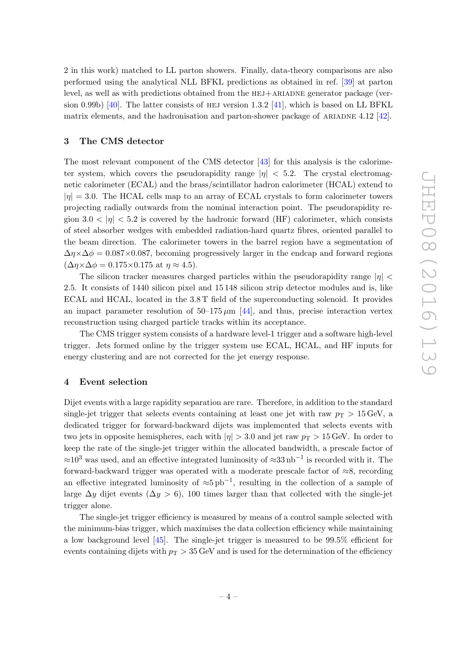2 in this work) matched to LL parton showers. Finally, data-theory comparisons are also performed using the analytical NLL BFKL predictions as obtained in ref. [\[39\]](#page-18-8) at parton level, as well as with predictions obtained from the HEJ+ARIADNE generator package (ver-sion 0.99b) [\[40\]](#page-18-9). The latter consists of HEJ version 1.3.2 [\[41\]](#page-18-10), which is based on LL BFKL matrix elements, and the hadronisation and parton-shower package of ARIADNE  $4.12$  [\[42\]](#page-18-11).

### <span id="page-4-0"></span>3 The CMS detector

The most relevant component of the CMS detector [\[43\]](#page-18-12) for this analysis is the calorimeter system, which covers the pseudorapidity range  $|\eta| < 5.2$ . The crystal electromagnetic calorimeter (ECAL) and the brass/scintillator hadron calorimeter (HCAL) extend to  $|\eta| = 3.0$ . The HCAL cells map to an array of ECAL crystals to form calorimeter towers projecting radially outwards from the nominal interaction point. The pseudorapidity region  $3.0 < |\eta| < 5.2$  is covered by the hadronic forward (HF) calorimeter, which consists of steel absorber wedges with embedded radiation-hard quartz fibres, oriented parallel to the beam direction. The calorimeter towers in the barrel region have a segmentation of  $\Delta \eta \times \Delta \phi = 0.087 \times 0.087$ , becoming progressively larger in the endcap and forward regions  $(\Delta \eta \times \Delta \phi = 0.175 \times 0.175$  at  $\eta \approx 4.5$ ).

The silicon tracker measures charged particles within the pseudorapidity range  $|\eta|$ 2.5. It consists of 1440 silicon pixel and 15 148 silicon strip detector modules and is, like ECAL and HCAL, located in the 3.8 T field of the superconducting solenoid. It provides an impact parameter resolution of  $50-175 \mu m$  [\[44\]](#page-18-13), and thus, precise interaction vertex reconstruction using charged particle tracks within its acceptance.

The CMS trigger system consists of a hardware level-1 trigger and a software high-level trigger. Jets formed online by the trigger system use ECAL, HCAL, and HF inputs for energy clustering and are not corrected for the jet energy response.

## <span id="page-4-1"></span>4 Event selection

Dijet events with a large rapidity separation are rare. Therefore, in addition to the standard single-jet trigger that selects events containing at least one jet with raw  $p_T > 15$  GeV, a dedicated trigger for forward-backward dijets was implemented that selects events with two jets in opposite hemispheres, each with  $|\eta| > 3.0$  and jet raw  $p_T > 15$  GeV. In order to keep the rate of the single-jet trigger within the allocated bandwidth, a prescale factor of  $\approx$ 10<sup>3</sup> was used, and an effective integrated luminosity of  $\approx$ 33 nb<sup>-1</sup> is recorded with it. The forward-backward trigger was operated with a moderate prescale factor of  $\approx 8$ , recording an effective integrated luminosity of  $\approx 5 \text{ pb}^{-1}$ , resulting in the collection of a sample of large  $\Delta y$  dijet events ( $\Delta y > 6$ ), 100 times larger than that collected with the single-jet trigger alone.

The single-jet trigger efficiency is measured by means of a control sample selected with the minimum-bias trigger, which maximises the data collection efficiency while maintaining a low background level  $\left[45\right]$ . The single-jet trigger is measured to be 99.5% efficient for events containing dijets with  $p_T > 35$  GeV and is used for the determination of the efficiency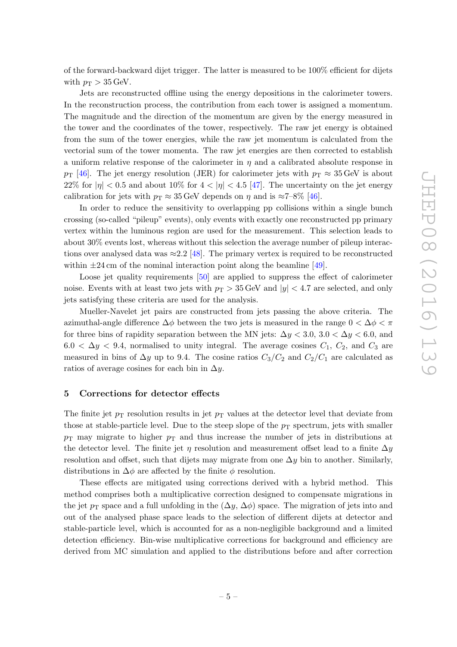of the forward-backward dijet trigger. The latter is measured to be 100% efficient for dijets with  $p_T > 35$  GeV.

Jets are reconstructed offline using the energy depositions in the calorimeter towers. In the reconstruction process, the contribution from each tower is assigned a momentum. The magnitude and the direction of the momentum are given by the energy measured in the tower and the coordinates of the tower, respectively. The raw jet energy is obtained from the sum of the tower energies, while the raw jet momentum is calculated from the vectorial sum of the tower momenta. The raw jet energies are then corrected to establish a uniform relative response of the calorimeter in  $\eta$  and a calibrated absolute response in  $p_T$  [\[46\]](#page-18-15). The jet energy resolution (JER) for calorimeter jets with  $p_T \approx 35 \,\text{GeV}$  is about 22% for  $|\eta| < 0.5$  and about 10% for  $4 < |\eta| < 4.5$  [\[47\]](#page-18-16). The uncertainty on the jet energy calibration for jets with  $p_T \approx 35$  GeV depends on  $\eta$  and is  $\approx 7-8\%$  [\[46\]](#page-18-15).

In order to reduce the sensitivity to overlapping pp collisions within a single bunch crossing (so-called "pileup" events), only events with exactly one reconstructed pp primary vertex within the luminous region are used for the measurement. This selection leads to about 30% events lost, whereas without this selection the average number of pileup interactions over analysed data was  $\approx 2.2$  [\[48\]](#page-18-17). The primary vertex is required to be reconstructed within  $\pm 24 \,\mathrm{cm}$  of the nominal interaction point along the beamline [\[49\]](#page-19-0).

Loose jet quality requirements [\[50\]](#page-19-1) are applied to suppress the effect of calorimeter noise. Events with at least two jets with  $p_T > 35$  GeV and  $|y| < 4.7$  are selected, and only jets satisfying these criteria are used for the analysis.

Mueller-Navelet jet pairs are constructed from jets passing the above criteria. The azimuthal-angle difference  $\Delta\phi$  between the two jets is measured in the range  $0 < \Delta\phi < \pi$ for three bins of rapidity separation between the MN jets:  $\Delta y < 3.0, 3.0 < \Delta y < 6.0$ , and  $6.0 < \Delta y < 9.4$ , normalised to unity integral. The average cosines  $C_1, C_2$ , and  $C_3$  are measured in bins of  $\Delta y$  up to 9.4. The cosine ratios  $C_3/C_2$  and  $C_2/C_1$  are calculated as ratios of average cosines for each bin in  $\Delta y$ .

#### <span id="page-5-0"></span>5 Corrections for detector effects

The finite jet  $p_T$  resolution results in jet  $p_T$  values at the detector level that deviate from those at stable-particle level. Due to the steep slope of the  $p<sub>T</sub>$  spectrum, jets with smaller  $p_{\text{T}}$  may migrate to higher  $p_{\text{T}}$  and thus increase the number of jets in distributions at the detector level. The finite jet  $\eta$  resolution and measurement offset lead to a finite  $\Delta y$ resolution and offset, such that dijets may migrate from one  $\Delta y$  bin to another. Similarly, distributions in  $\Delta \phi$  are affected by the finite  $\phi$  resolution.

These effects are mitigated using corrections derived with a hybrid method. This method comprises both a multiplicative correction designed to compensate migrations in the jet  $p_T$  space and a full unfolding in the  $(\Delta y, \Delta \phi)$  space. The migration of jets into and out of the analysed phase space leads to the selection of different dijets at detector and stable-particle level, which is accounted for as a non-negligible background and a limited detection efficiency. Bin-wise multiplicative corrections for background and efficiency are derived from MC simulation and applied to the distributions before and after correction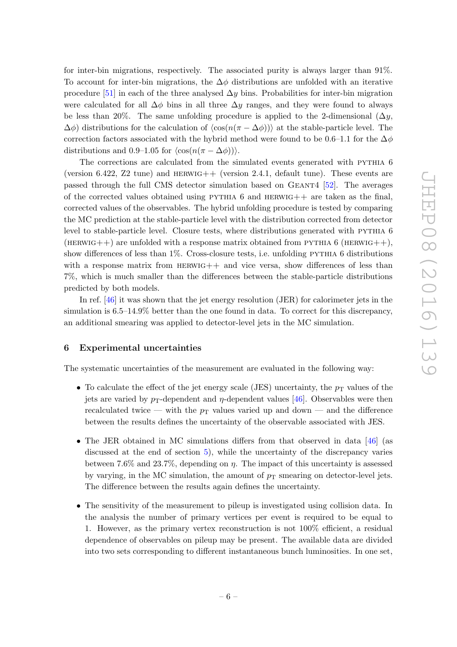for inter-bin migrations, respectively. The associated purity is always larger than 91%. To account for inter-bin migrations, the  $\Delta\phi$  distributions are unfolded with an iterative procedure [\[51\]](#page-19-2) in each of the three analysed  $\Delta y$  bins. Probabilities for inter-bin migration were calculated for all  $\Delta\phi$  bins in all three  $\Delta y$  ranges, and they were found to always be less than 20%. The same unfolding procedure is applied to the 2-dimensional  $(\Delta y, \Delta z)$  $\Delta\phi$ ) distributions for the calculation of  $\langle \cos(n(\pi - \Delta\phi)) \rangle$  at the stable-particle level. The correction factors associated with the hybrid method were found to be 0.6–1.1 for the  $\Delta\phi$ distributions and 0.9–1.05 for  $\langle \cos(n(\pi - \Delta \phi)) \rangle$ .

The corrections are calculated from the simulated events generated with PYTHIA 6 (version 6.422,  $Z2$  tune) and  $HERWIG++$  (version 2.4.1, default tune). These events are passed through the full CMS detector simulation based on Geant4 [\[52\]](#page-19-3). The averages of the corrected values obtained using PYTHIA 6 and  $HERWIG++$  are taken as the final, corrected values of the observables. The hybrid unfolding procedure is tested by comparing the MC prediction at the stable-particle level with the distribution corrected from detector level to stable-particle level. Closure tests, where distributions generated with PYTHIA 6 (HERWIG++) are unfolded with a response matrix obtained from PYTHIA 6 (HERWIG++), show differences of less than  $1\%$ . Cross-closure tests, i.e. unfolding PYTHIA 6 distributions with a response matrix from  $HERWIG++$  and vice versa, show differences of less than 7%, which is much smaller than the differences between the stable-particle distributions predicted by both models.

In ref. [\[46\]](#page-18-15) it was shown that the jet energy resolution (JER) for calorimeter jets in the simulation is 6.5–14.9% better than the one found in data. To correct for this discrepancy, an additional smearing was applied to detector-level jets in the MC simulation.

#### <span id="page-6-0"></span>6 Experimental uncertainties

The systematic uncertainties of the measurement are evaluated in the following way:

- To calculate the effect of the jet energy scale (JES) uncertainty, the  $p_T$  values of the jets are varied by  $p_T$ -dependent and  $\eta$ -dependent values [\[46\]](#page-18-15). Observables were then recalculated twice — with the  $p<sub>T</sub>$  values varied up and down — and the difference between the results defines the uncertainty of the observable associated with JES.
- The JER obtained in MC simulations differs from that observed in data [\[46\]](#page-18-15) (as discussed at the end of section [5\)](#page-5-0), while the uncertainty of the discrepancy varies between 7.6% and 23.7%, depending on  $\eta$ . The impact of this uncertainty is assessed by varying, in the MC simulation, the amount of  $p<sub>T</sub>$  smearing on detector-level jets. The difference between the results again defines the uncertainty.
- The sensitivity of the measurement to pileup is investigated using collision data. In the analysis the number of primary vertices per event is required to be equal to 1. However, as the primary vertex reconstruction is not 100% efficient, a residual dependence of observables on pileup may be present. The available data are divided into two sets corresponding to different instantaneous bunch luminosities. In one set,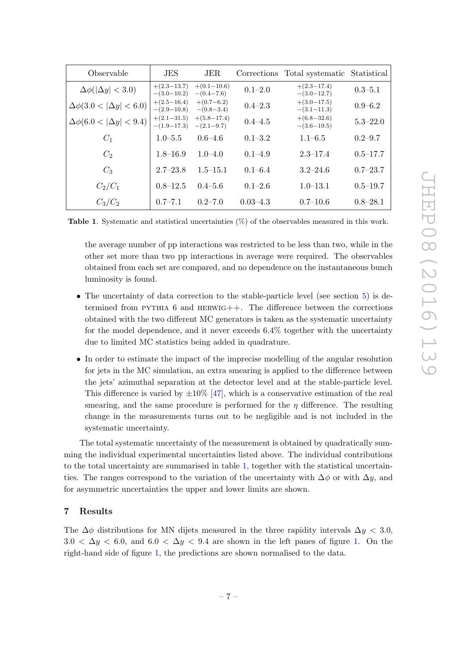| Observable                           | <b>JES</b>                     | <b>JER</b>                      | Corrections  | Total systematic Statistical   |              |
|--------------------------------------|--------------------------------|---------------------------------|--------------|--------------------------------|--------------|
| $\Delta\phi( \Delta y  < 3.0)$       | $+(2.3-13.7)$<br>$-(3.0-10.2)$ | $+(0.1-10.6)$<br>$-(0.4-7.6)$   | $0.1 - 2.0$  | $+(2.3-17.4)$<br>$-(3.0-12.7)$ | $0.3 - 5.1$  |
| $\Delta\phi(3.0< \Delta y <6.0)$     | $+(2.5-16.4)$<br>$-(2.9-10.8)$ | $+(0.7-6.2)$<br>$-(0.8-3.4)$    | $0.4 - 2.3$  | $+(3.0-17.5)$<br>$-(3.1-11.3)$ | $0.9 - 6.2$  |
| $\Delta\phi(6.0 <  \Delta y  < 9.4)$ | $+(2.1-31.5)$<br>$-(1.9-17.3)$ | $+(5.8-17.4)$<br>$-(2.1 - 9.7)$ | $0.4 - 4.5$  | $+(6.8-32.6)$<br>$-(3.6-19.5)$ | $5.3 - 22.0$ |
| $C_1$                                | $1.0 - 5.5$                    | $0.6 - 4.6$                     | $0.1 - 3.2$  | $1.1 - 6.5$                    | $0.2 - 9.7$  |
| C <sub>2</sub>                       | $1.8 - 16.9$                   | $1.0 - 4.0$                     | $0.1 - 4.9$  | $2.3 - 17.4$                   | $0.5 - 17.7$ |
| $C_3$                                | $2.7 - 23.8$                   | $1.5 - 15.1$                    | $0.1 - 6.4$  | $3.2 - 24.6$                   | $0.7 - 23.7$ |
| $C_2/C_1$                            | $0.8 - 12.5$                   | $0.4 - 5.6$                     | $0.1 - 2.6$  | $1.0 - 13.1$                   | $0.5 - 19.7$ |
| $C_3/C_2$                            | $0.7 - 7.1$                    | $0.2 - 7.0$                     | $0.03 - 4.3$ | $0.7 - 10.6$                   | $0.8 - 28.1$ |

Table 1. Systematic and statistical uncertainties (%) of the observables measured in this work.

<span id="page-7-1"></span>the average number of pp interactions was restricted to be less than two, while in the other set more than two pp interactions in average were required. The observables obtained from each set are compared, and no dependence on the instantaneous bunch luminosity is found.

- The uncertainty of data correction to the stable-particle level (see section [5\)](#page-5-0) is determined from PYTHIA  $6$  and HERWIG++. The difference between the corrections obtained with the two different MC generators is taken as the systematic uncertainty for the model dependence, and it never exceeds 6.4% together with the uncertainty due to limited MC statistics being added in quadrature.
- In order to estimate the impact of the imprecise modelling of the angular resolution for jets in the MC simulation, an extra smearing is applied to the difference between the jets' azimuthal separation at the detector level and at the stable-particle level. This difference is varied by  $\pm 10\%$  [\[47\]](#page-18-16), which is a conservative estimation of the real smearing, and the same procedure is performed for the  $\eta$  difference. The resulting change in the measurements turns out to be negligible and is not included in the systematic uncertainty.

The total systematic uncertainty of the measurement is obtained by quadratically summing the individual experimental uncertainties listed above. The individual contributions to the total uncertainty are summarised in table [1,](#page-7-1) together with the statistical uncertainties. The ranges correspond to the variation of the uncertainty with  $\Delta \phi$  or with  $\Delta y$ , and for asymmetric uncertainties the upper and lower limits are shown.

## <span id="page-7-0"></span>7 Results

The  $\Delta \phi$  distributions for MN dijets measured in the three rapidity intervals  $\Delta y < 3.0$ ,  $3.0 < \Delta y < 6.0$ , and  $6.0 < \Delta y < 9.4$  are shown in the left panes of figure [1.](#page-10-0) On the right-hand side of figure [1,](#page-10-0) the predictions are shown normalised to the data.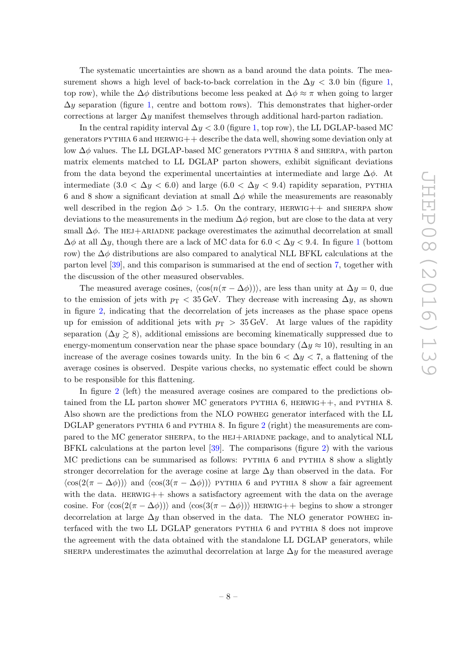The systematic uncertainties are shown as a band around the data points. The measurement shows a high level of back-to-back correlation in the  $\Delta y < 3.0$  bin (figure [1,](#page-10-0) top row), while the  $\Delta \phi$  distributions become less peaked at  $\Delta \phi \approx \pi$  when going to larger  $\Delta y$  separation (figure [1,](#page-10-0) centre and bottom rows). This demonstrates that higher-order corrections at larger  $\Delta y$  manifest themselves through additional hard-parton radiation.

In the central rapidity interval  $\Delta y < 3.0$  (figure [1,](#page-10-0) top row), the LL DGLAP-based MC generators PYTHIA  $6$  and HERWIG++ describe the data well, showing some deviation only at low  $\Delta\phi$  values. The LL DGLAP-based MC generators PYTHIA 8 and SHERPA, with parton matrix elements matched to LL DGLAP parton showers, exhibit significant deviations from the data beyond the experimental uncertainties at intermediate and large  $\Delta \phi$ . At intermediate  $(3.0 < \Delta y < 6.0)$  and large  $(6.0 < \Delta y < 9.4)$  rapidity separation, PYTHIA 6 and 8 show a significant deviation at small  $\Delta\phi$  while the measurements are reasonably well described in the region  $\Delta \phi > 1.5$ . On the contrary, HERWIG++ and SHERPA show deviations to the measurements in the medium  $\Delta\phi$  region, but are close to the data at very small  $\Delta\phi$ . The HEJ+ARIADNE package overestimates the azimuthal decorrelation at small  $\Delta\phi$  at all  $\Delta y$ , though there are a lack of MC data for 6.0 <  $\Delta y$  < 9.4. In figure [1](#page-10-0) (bottom row) the  $\Delta\phi$  distributions are also compared to analytical NLL BFKL calculations at the parton level [\[39\]](#page-18-8), and this comparison is summarised at the end of section [7,](#page-7-0) together with the discussion of the other measured observables.

The measured average cosines,  $\langle \cos(n(\pi - \Delta \phi)) \rangle$ , are less than unity at  $\Delta y = 0$ , due to the emission of jets with  $p_T < 35$  GeV. They decrease with increasing  $\Delta y$ , as shown in figure [2,](#page-11-0) indicating that the decorrelation of jets increases as the phase space opens up for emission of additional jets with  $p_T > 35$  GeV. At large values of the rapidity separation ( $\Delta y \gtrsim 8$ ), additional emissions are becoming kinematically suppressed due to energy-momentum conservation near the phase space boundary ( $\Delta y \approx 10$ ), resulting in an increase of the average cosines towards unity. In the bin  $6 < \Delta y < 7$ , a flattening of the average cosines is observed. Despite various checks, no systematic effect could be shown to be responsible for this flattening.

In figure [2](#page-11-0) (left) the measured average cosines are compared to the predictions obtained from the LL parton shower MC generators PYTHIA  $6$ , HERWIG++, and PYTHIA  $8$ . Also shown are the predictions from the NLO powheg generator interfaced with the LL DGLAP generators PYTHIA 6 and PYTHIA 8. In figure [2](#page-11-0) (right) the measurements are compared to the MC generator sherpa, to the hej+ariadne package, and to analytical NLL BFKL calculations at the parton level [\[39\]](#page-18-8). The comparisons (figure [2\)](#page-11-0) with the various MC predictions can be summarised as follows: PYTHIA 6 and PYTHIA 8 show a slightly stronger decorrelation for the average cosine at large  $\Delta y$  than observed in the data. For  $\langle \cos(2(\pi - \Delta \phi)) \rangle$  and  $\langle \cos(3(\pi - \Delta \phi)) \rangle$  pythia 6 and pythia 8 show a fair agreement with the data.  $HERWIG++$  shows a satisfactory agreement with the data on the average cosine. For  $\langle \cos(2(\pi - \Delta \phi)) \rangle$  and  $\langle \cos(3(\pi - \Delta \phi)) \rangle$  herwig++ begins to show a stronger decorrelation at large  $\Delta y$  than observed in the data. The NLO generator POWHEG interfaced with the two LL DGLAP generators pythia 6 and pythia 8 does not improve the agreement with the data obtained with the standalone LL DGLAP generators, while SHERPA underestimates the azimuthal decorrelation at large  $\Delta y$  for the measured average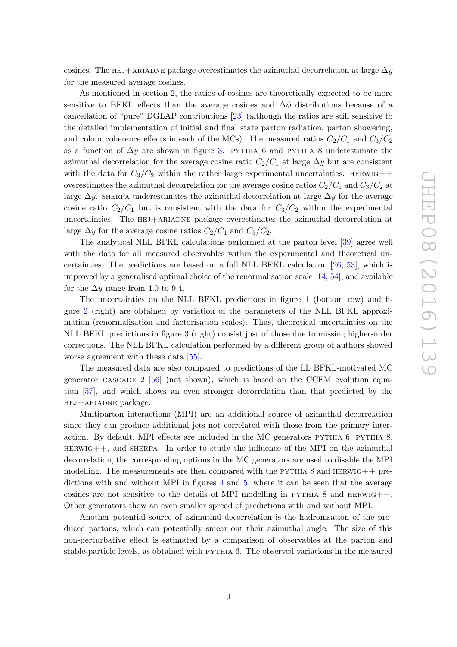cosines. The HEJ+ARIADNE package overestimates the azimuthal decorrelation at large  $\Delta y$ for the measured average cosines.

As mentioned in section [2,](#page-2-0) the ratios of cosines are theoretically expected to be more sensitive to BFKL effects than the average cosines and  $\Delta\phi$  distributions because of a cancellation of "pure" DGLAP contributions [\[23\]](#page-17-9) (although the ratios are still sensitive to the detailed implementation of initial and final state parton radiation, parton showering, and colour coherence effects in each of the MCs). The measured ratios  $C_2/C_1$  and  $C_3/C_2$ as a function of  $\Delta y$  are shown in figure [3.](#page-12-0) PYTHIA 6 and PYTHIA 8 underestimate the azimuthal decorrelation for the average cosine ratio  $C_2/C_1$  at large  $\Delta y$  but are consistent with the data for  $C_3/C_2$  within the rather large experimental uncertainties. HERWIG++ overestimates the azimuthal decorrelation for the average cosine ratios  $C_2/C_1$  and  $C_3/C_2$  at large  $\Delta y$ . SHERPA underestimates the azimuthal decorrelation at large  $\Delta y$  for the average cosine ratio  $C_2/C_1$  but is consistent with the data for  $C_3/C_2$  within the experimental uncertainties. The HEJ+ARIADNE package overestimates the azimuthal decorrelation at large  $\Delta y$  for the average cosine ratios  $C_2/C_1$  and  $C_3/C_2$ .

The analytical NLL BFKL calculations performed at the parton level [\[39\]](#page-18-8) agree well with the data for all measured observables within the experimental and theoretical uncertainties. The predictions are based on a full NLL BFKL calculation [\[26,](#page-17-11) [53\]](#page-19-4), which is improved by a generalised optimal choice of the renormalisation scale  $[14, 54]$  $[14, 54]$  $[14, 54]$ , and available for the  $\Delta y$  range from 4.0 to 9.4.

The uncertainties on the NLL BFKL predictions in figure [1](#page-10-0) (bottom row) and figure [2](#page-11-0) (right) are obtained by variation of the parameters of the NLL BFKL approximation (renormalisation and factorisation scales). Thus, theoretical uncertainties on the NLL BFKL predictions in figure [3](#page-12-0) (right) consist just of those due to missing higher-order corrections. The NLL BFKL calculation performed by a different group of authors showed worse agreement with these data [\[55\]](#page-19-6).

The measured data are also compared to predictions of the LL BFKL-motivated MC generator CASCADE 2 [\[56\]](#page-19-7) (not shown), which is based on the CCFM evolution equation [\[57\]](#page-19-8), and which shows an even stronger decorrelation than that predicted by the hej+ariadne package.

Multiparton interactions (MPI) are an additional source of azimuthal decorrelation since they can produce additional jets not correlated with those from the primary interaction. By default, MPI effects are included in the MC generators pythia 6, pythia 8,  $HERWIG++$ , and  $SHERPA$ . In order to study the influence of the MPI on the azimuthal decorrelation, the corresponding options in the MC generators are used to disable the MPI modelling. The measurements are then compared with the PYTHIA  $8$  and HERWIG++ predictions with and without MPI in figures [4](#page-13-0) and [5,](#page-13-1) where it can be seen that the average cosines are not sensitive to the details of MPI modelling in PYTHIA 8 and HERWIG $++$ . Other generators show an even smaller spread of predictions with and without MPI.

Another potential source of azimuthal decorrelation is the hadronisation of the produced partons, which can potentially smear out their azimuthal angle. The size of this non-perturbative effect is estimated by a comparison of observables at the parton and stable-particle levels, as obtained with pythia 6. The observed variations in the measured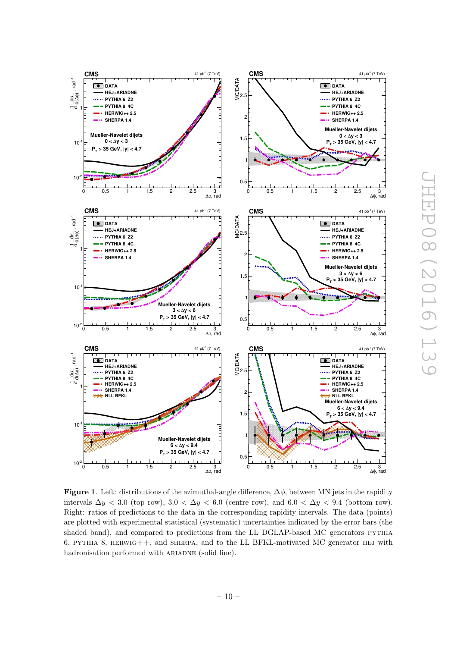



<span id="page-10-0"></span>**Figure 1.** Left: distributions of the azimuthal-angle difference,  $\Delta\phi$ , between MN jets in the rapidity intervals  $\Delta y < 3.0$  (top row),  $3.0 < \Delta y < 6.0$  (centre row), and  $6.0 < \Delta y < 9.4$  (bottom row). Right: ratios of predictions to the data in the corresponding rapidity intervals. The data (points) are plotted with experimental statistical (systematic) uncertainties indicated by the error bars (the shaded band), and compared to predictions from the LL DGLAP-based MC generators pythia 6, PYTHIA 8, HERWIG $++$ , and SHERPA, and to the LL BFKL-motivated MC generator HEJ with hadronisation performed with ARIADNE (solid line).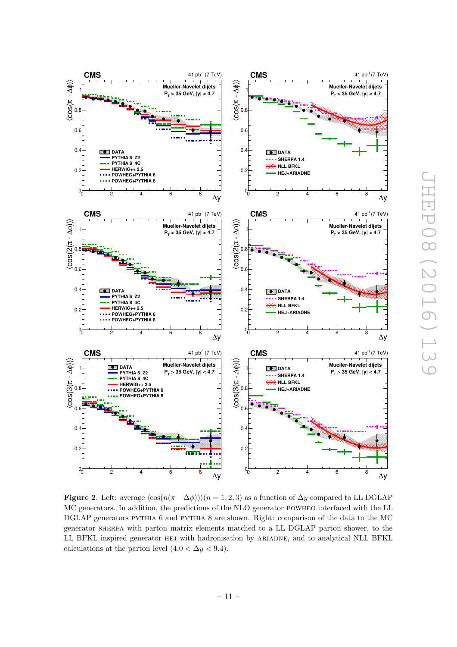

<span id="page-11-0"></span>**Figure 2.** Left: average  $\langle \cos(n(\pi - \Delta\phi)) \rangle$  $(n = 1, 2, 3)$  as a function of  $\Delta y$  compared to LL DGLAP MC generators. In addition, the predictions of the NLO generator powheg interfaced with the LL DGLAP generators pythia 6 and pythia 8 are shown. Right: comparison of the data to the MC generator sherpa with parton matrix elements matched to a LL DGLAP parton shower, to the LL BFKL inspired generator hej with hadronisation by ariadne, and to analytical NLL BFKL calculations at the parton level  $(4.0 < \Delta y < 9.4)$ .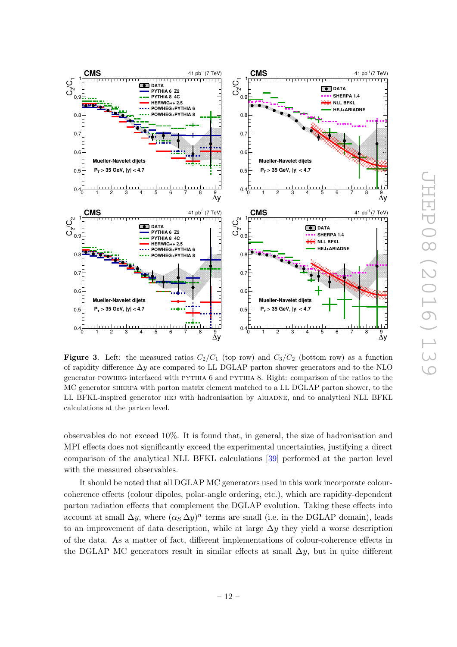

<span id="page-12-0"></span>**Figure 3.** Left: the measured ratios  $C_2/C_1$  (top row) and  $C_3/C_2$  (bottom row) as a function of rapidity difference  $\Delta y$  are compared to LL DGLAP parton shower generators and to the NLO generator powheg interfaced with pythia 6 and pythia 8. Right: comparison of the ratios to the MC generator sherpa with parton matrix element matched to a LL DGLAP parton shower, to the LL BFKL-inspired generator hej with hadronisation by ariadne, and to analytical NLL BFKL calculations at the parton level.

observables do not exceed 10%. It is found that, in general, the size of hadronisation and MPI effects does not significantly exceed the experimental uncertainties, justifying a direct comparison of the analytical NLL BFKL calculations [\[39\]](#page-18-8) performed at the parton level with the measured observables.

It should be noted that all DGLAP MC generators used in this work incorporate colourcoherence effects (colour dipoles, polar-angle ordering, etc.), which are rapidity-dependent parton radiation effects that complement the DGLAP evolution. Taking these effects into account at small  $\Delta y$ , where  $(\alpha_S \Delta y)^n$  terms are small (i.e. in the DGLAP domain), leads to an improvement of data description, while at large  $\Delta y$  they yield a worse description of the data. As a matter of fact, different implementations of colour-coherence effects in the DGLAP MC generators result in similar effects at small  $\Delta y$ , but in quite different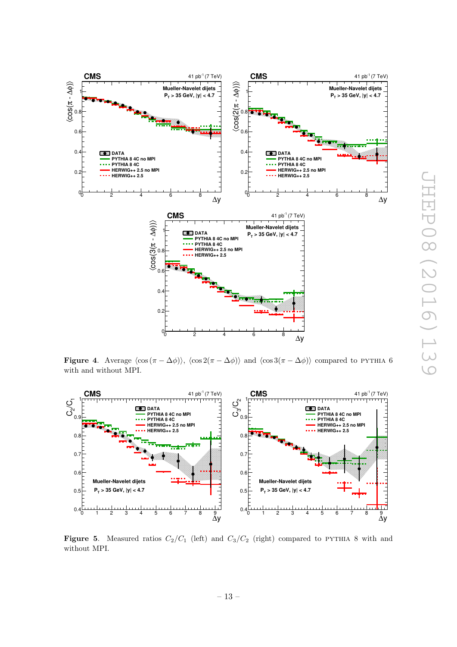

<span id="page-13-0"></span>Figure 4. Average  $\langle \cos (\pi - \Delta \phi) \rangle$ ,  $\langle \cos 2(\pi - \Delta \phi) \rangle$  and  $\langle \cos 3(\pi - \Delta \phi) \rangle$  compared to PYTHIA 6 with and without MPI.



<span id="page-13-1"></span>Figure 5. Measured ratios  $C_2/C_1$  (left) and  $C_3/C_2$  (right) compared to PYTHIA 8 with and without MPI.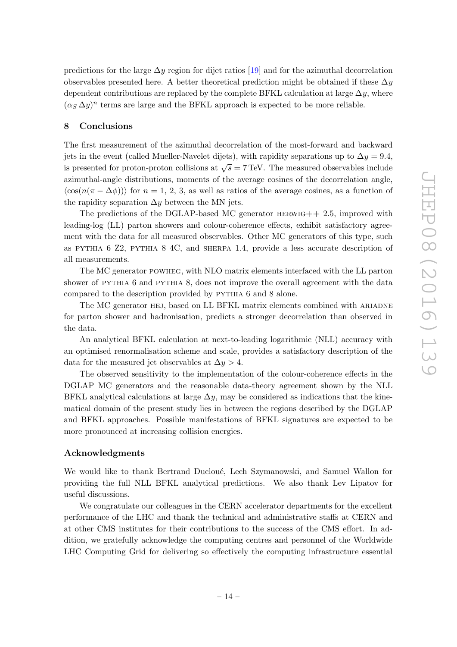predictions for the large  $\Delta y$  region for dijet ratios [\[19\]](#page-17-4) and for the azimuthal decorrelation observables presented here. A better theoretical prediction might be obtained if these  $\Delta y$ dependent contributions are replaced by the complete BFKL calculation at large  $\Delta y$ , where  $(\alpha_S \Delta y)^n$  terms are large and the BFKL approach is expected to be more reliable.

### <span id="page-14-0"></span>8 Conclusions

The first measurement of the azimuthal decorrelation of the most-forward and backward jets in the event (called Mueller-Navelet dijets), with rapidity separations up to  $\Delta y = 9.4$ , is presented for proton-proton collisions at  $\sqrt{s} = 7$  TeV. The measured observables include azimuthal-angle distributions, moments of the average cosines of the decorrelation angle,  $\langle \cos(n(\pi - \Delta\phi)) \rangle$  for  $n = 1, 2, 3$ , as well as ratios of the average cosines, as a function of the rapidity separation  $\Delta y$  between the MN jets.

The predictions of the DGLAP-based MC generator  $HERWIG++ 2.5$ , improved with leading-log (LL) parton showers and colour-coherence effects, exhibit satisfactory agreement with the data for all measured observables. Other MC generators of this type, such as pythia 6 Z2, pythia 8 4C, and sherpa 1.4, provide a less accurate description of all measurements.

The MC generator powheg, with NLO matrix elements interfaced with the LL parton shower of PYTHIA 6 and PYTHIA 8, does not improve the overall agreement with the data compared to the description provided by PYTHIA 6 and 8 alone.

The MC generator HEJ, based on LL BFKL matrix elements combined with ARIADNE for parton shower and hadronisation, predicts a stronger decorrelation than observed in the data.

An analytical BFKL calculation at next-to-leading logarithmic (NLL) accuracy with an optimised renormalisation scheme and scale, provides a satisfactory description of the data for the measured jet observables at  $\Delta y > 4$ .

The observed sensitivity to the implementation of the colour-coherence effects in the DGLAP MC generators and the reasonable data-theory agreement shown by the NLL BFKL analytical calculations at large  $\Delta y$ , may be considered as indications that the kinematical domain of the present study lies in between the regions described by the DGLAP and BFKL approaches. Possible manifestations of BFKL signatures are expected to be more pronounced at increasing collision energies.

### Acknowledgments

We would like to thank Bertrand Ducloué, Lech Szymanowski, and Samuel Wallon for providing the full NLL BFKL analytical predictions. We also thank Lev Lipatov for useful discussions.

We congratulate our colleagues in the CERN accelerator departments for the excellent performance of the LHC and thank the technical and administrative staffs at CERN and at other CMS institutes for their contributions to the success of the CMS effort. In addition, we gratefully acknowledge the computing centres and personnel of the Worldwide LHC Computing Grid for delivering so effectively the computing infrastructure essential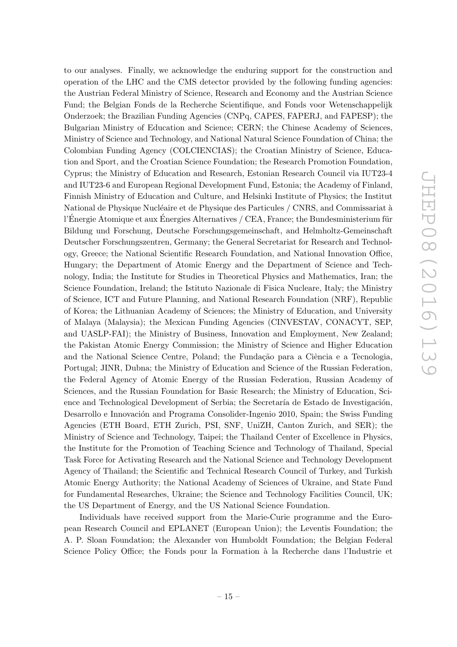to our analyses. Finally, we acknowledge the enduring support for the construction and operation of the LHC and the CMS detector provided by the following funding agencies: the Austrian Federal Ministry of Science, Research and Economy and the Austrian Science Fund; the Belgian Fonds de la Recherche Scientifique, and Fonds voor Wetenschappelijk Onderzoek; the Brazilian Funding Agencies (CNPq, CAPES, FAPERJ, and FAPESP); the Bulgarian Ministry of Education and Science; CERN; the Chinese Academy of Sciences, Ministry of Science and Technology, and National Natural Science Foundation of China; the Colombian Funding Agency (COLCIENCIAS); the Croatian Ministry of Science, Education and Sport, and the Croatian Science Foundation; the Research Promotion Foundation, Cyprus; the Ministry of Education and Research, Estonian Research Council via IUT23-4 and IUT23-6 and European Regional Development Fund, Estonia; the Academy of Finland, Finnish Ministry of Education and Culture, and Helsinki Institute of Physics; the Institut National de Physique Nucléaire et de Physique des Particules / CNRS, and Commissariat à l'Energie Atomique et aux Energies Alternatives / CEA, France; the Bundesministerium für Bildung und Forschung, Deutsche Forschungsgemeinschaft, and Helmholtz-Gemeinschaft Deutscher Forschungszentren, Germany; the General Secretariat for Research and Technology, Greece; the National Scientific Research Foundation, and National Innovation Office, Hungary; the Department of Atomic Energy and the Department of Science and Technology, India; the Institute for Studies in Theoretical Physics and Mathematics, Iran; the Science Foundation, Ireland; the Istituto Nazionale di Fisica Nucleare, Italy; the Ministry of Science, ICT and Future Planning, and National Research Foundation (NRF), Republic of Korea; the Lithuanian Academy of Sciences; the Ministry of Education, and University of Malaya (Malaysia); the Mexican Funding Agencies (CINVESTAV, CONACYT, SEP, and UASLP-FAI); the Ministry of Business, Innovation and Employment, New Zealand; the Pakistan Atomic Energy Commission; the Ministry of Science and Higher Education and the National Science Centre, Poland; the Fundação para a Ciência e a Tecnologia, Portugal; JINR, Dubna; the Ministry of Education and Science of the Russian Federation, the Federal Agency of Atomic Energy of the Russian Federation, Russian Academy of Sciences, and the Russian Foundation for Basic Research; the Ministry of Education, Science and Technological Development of Serbia; the Secretaría de Estado de Investigación, Desarrollo e Innovación and Programa Consolider-Ingenio 2010, Spain; the Swiss Funding Agencies (ETH Board, ETH Zurich, PSI, SNF, UniZH, Canton Zurich, and SER); the Ministry of Science and Technology, Taipei; the Thailand Center of Excellence in Physics, the Institute for the Promotion of Teaching Science and Technology of Thailand, Special Task Force for Activating Research and the National Science and Technology Development Agency of Thailand; the Scientific and Technical Research Council of Turkey, and Turkish Atomic Energy Authority; the National Academy of Sciences of Ukraine, and State Fund for Fundamental Researches, Ukraine; the Science and Technology Facilities Council, UK; the US Department of Energy, and the US National Science Foundation.

Individuals have received support from the Marie-Curie programme and the European Research Council and EPLANET (European Union); the Leventis Foundation; the A. P. Sloan Foundation; the Alexander von Humboldt Foundation; the Belgian Federal Science Policy Office; the Fonds pour la Formation à la Recherche dans l'Industrie et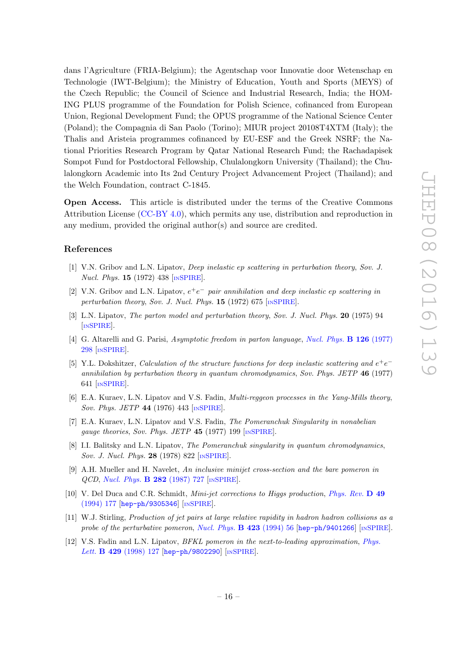dans l'Agriculture (FRIA-Belgium); the Agentschap voor Innovatie door Wetenschap en Technologie (IWT-Belgium); the Ministry of Education, Youth and Sports (MEYS) of the Czech Republic; the Council of Science and Industrial Research, India; the HOM-ING PLUS programme of the Foundation for Polish Science, cofinanced from European Union, Regional Development Fund; the OPUS programme of the National Science Center (Poland); the Compagnia di San Paolo (Torino); MIUR project 20108T4XTM (Italy); the Thalis and Aristeia programmes cofinanced by EU-ESF and the Greek NSRF; the National Priorities Research Program by Qatar National Research Fund; the Rachadapisek Sompot Fund for Postdoctoral Fellowship, Chulalongkorn University (Thailand); the Chulalongkorn Academic into Its 2nd Century Project Advancement Project (Thailand); and the Welch Foundation, contract C-1845.

Open Access. This article is distributed under the terms of the Creative Commons Attribution License [\(CC-BY 4.0\)](http://creativecommons.org/licenses/by/4.0/), which permits any use, distribution and reproduction in any medium, provided the original author(s) and source are credited.

## References

- <span id="page-16-0"></span>[1] V.N. Gribov and L.N. Lipatov, Deep inelastic ep scattering in perturbation theory, Sov. J. Nucl. Phys. **15** (1972) 438 [IN[SPIRE](http://inspirehep.net/search?p=find+J+%22Sov.J.Nucl.Phys.,15,438%22)].
- [2] V.N. Gribov and L.N. Lipatov,  $e^+e^-$  pair annihilation and deep inelastic ep scattering in perturbation theory, Sov. J. Nucl. Phys.  $15$  (1972) 675 [IN[SPIRE](http://inspirehep.net/search?p=find+J+%22Sov.J.Nucl.Phys.,15,675%22)].
- [3] L.N. Lipatov, The parton model and perturbation theory, Sov. J. Nucl. Phys. 20 (1975) 94 [IN[SPIRE](http://inspirehep.net/search?p=find+J+%22Sov.J.Nucl.Phys.,20,94%22)].
- [4] G. Altarelli and G. Parisi, Asymptotic freedom in parton language, [Nucl. Phys.](http://dx.doi.org/10.1016/0550-3213(77)90384-4) B 126 (1977) [298](http://dx.doi.org/10.1016/0550-3213(77)90384-4) [IN[SPIRE](http://inspirehep.net/search?p=find+J+%22Nucl.Phys.,B126,298%22)].
- <span id="page-16-1"></span>[5] Y.L. Dokshitzer, Calculation of the structure functions for deep inelastic scattering and  $e^+e^$ annihilation by perturbation theory in quantum chromodynamics, Sov. Phys. JETP  $46$  (1977) 641 [IN[SPIRE](http://inspirehep.net/search?p=find+J+%22Sov.Phys.JETP,46,641%22)].
- <span id="page-16-2"></span>[6] E.A. Kuraev, L.N. Lipatov and V.S. Fadin, Multi-reggeon processes in the Yang-Mills theory, Sov. Phys. JETP 44 (1976) 443 [IN[SPIRE](http://inspirehep.net/search?p=find+J+%22Sov.Phys.JETP,44,443%22)].
- [7] E.A. Kuraev, L.N. Lipatov and V.S. Fadin, The Pomeranchuk Singularity in nonabelian gauge theories, Sov. Phys. JETP 45 (1977) 199 [IN[SPIRE](http://inspirehep.net/search?p=find+J+%22Sov.Phys.JETP,45,199%22)].
- <span id="page-16-3"></span>[8] I.I. Balitsky and L.N. Lipatov, The Pomeranchuk singularity in quantum chromodynamics, Sov. J. Nucl. Phys. 28 (1978) 822 [IN[SPIRE](http://inspirehep.net/search?p=find+J+%22Sov.J.Nucl.Phys.,28,822%22)].
- <span id="page-16-4"></span>[9] A.H. Mueller and H. Navelet, An inclusive minijet cross-section and the bare pomeron in QCD, [Nucl. Phys.](http://dx.doi.org/10.1016/0550-3213(87)90705-X) B 282 (1987) 727 [IN[SPIRE](http://inspirehep.net/search?p=find+J+%22Nucl.Phys.,B282,727%22)].
- <span id="page-16-5"></span>[10] V. Del Duca and C.R. Schmidt, *Mini-jet corrections to Higgs production, [Phys. Rev.](http://dx.doi.org/10.1103/PhysRevD.49.177)* **D** 49 [\(1994\) 177](http://dx.doi.org/10.1103/PhysRevD.49.177) [[hep-ph/9305346](http://arxiv.org/abs/hep-ph/9305346)] [IN[SPIRE](http://inspirehep.net/search?p=find+EPRINT+hep-ph/9305346)].
- <span id="page-16-6"></span>[11] W.J. Stirling, Production of jet pairs at large relative rapidity in hadron hadron collisions as a probe of the perturbative pomeron, [Nucl. Phys.](http://dx.doi.org/10.1016/0550-3213(94)90565-7) **B** 423 (1994) 56 [[hep-ph/9401266](http://arxiv.org/abs/hep-ph/9401266)] [IN[SPIRE](http://inspirehep.net/search?p=find+EPRINT+hep-ph/9401266)].
- <span id="page-16-7"></span>[12] V.S. Fadin and L.N. Lipatov, *BFKL pomeron in the next-to-leading approximation, [Phys.](http://dx.doi.org/10.1016/S0370-2693(98)00473-0)* Lett. **B 429** [\(1998\) 127](http://dx.doi.org/10.1016/S0370-2693(98)00473-0) [[hep-ph/9802290](http://arxiv.org/abs/hep-ph/9802290)] [IN[SPIRE](http://inspirehep.net/search?p=find+EPRINT+hep-ph/9802290)].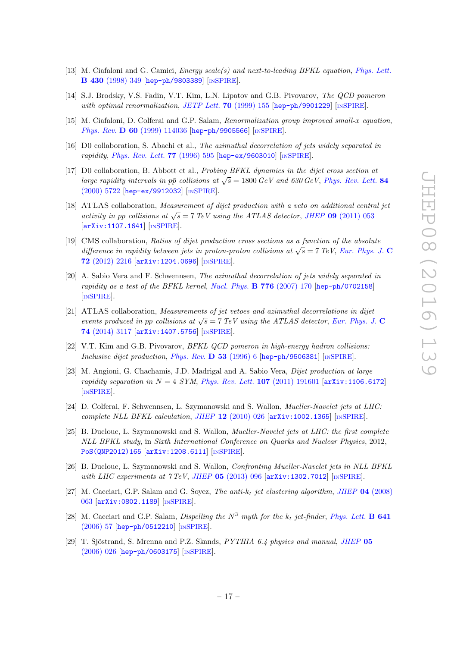- [13] M. Ciafaloni and G. Camici, *Energy scale(s) and next-to-leading BFKL equation, [Phys. Lett.](http://dx.doi.org/10.1016/S0370-2693(98)00551-6)* B 430 [\(1998\) 349](http://dx.doi.org/10.1016/S0370-2693(98)00551-6) [[hep-ph/9803389](http://arxiv.org/abs/hep-ph/9803389)] [IN[SPIRE](http://inspirehep.net/search?p=find+EPRINT+hep-ph/9803389)].
- <span id="page-17-10"></span>[14] S.J. Brodsky, V.S. Fadin, V.T. Kim, L.N. Lipatov and G.B. Pivovarov, The QCD pomeron with optimal renormalization, [JETP Lett.](http://dx.doi.org/10.1134/1.568145) 70 (1999) 155  $[hep-ph/9901229]$  $[hep-ph/9901229]$  $[hep-ph/9901229]$  [IN[SPIRE](http://inspirehep.net/search?p=find+EPRINT+hep-ph/9901229)].
- <span id="page-17-0"></span>[15] M. Ciafaloni, D. Colferai and G.P. Salam, Renormalization group improved small-x equation, Phys. Rev. **D 60** [\(1999\) 114036](http://dx.doi.org/10.1103/PhysRevD.60.114036) [[hep-ph/9905566](http://arxiv.org/abs/hep-ph/9905566)] [IN[SPIRE](http://inspirehep.net/search?p=find+EPRINT+hep-ph/9905566)].
- <span id="page-17-1"></span>[16] D0 collaboration, S. Abachi et al., The azimuthal decorrelation of jets widely separated in rapidity, [Phys. Rev. Lett.](http://dx.doi.org/10.1103/PhysRevLett.77.595) 77 (1996) 595 [[hep-ex/9603010](http://arxiv.org/abs/hep-ex/9603010)] [IN[SPIRE](http://inspirehep.net/search?p=find+EPRINT+hep-ex/9603010)].
- <span id="page-17-2"></span>[17] D0 collaboration, B. Abbott et al., Probing BFKL dynamics in the dijet cross section at Let condition, the respect of any *i* roomy in the agrammer in the arget cross section at large rapidity intervals in  $p\bar{p}$  collisions at  $\sqrt{s} = 1800 \text{ GeV}$  and  $630 \text{ GeV}$ , [Phys. Rev. Lett.](http://dx.doi.org/10.1103/PhysRevLett.84.5722) 84 [\(2000\) 5722](http://dx.doi.org/10.1103/PhysRevLett.84.5722) [[hep-ex/9912032](http://arxiv.org/abs/hep-ex/9912032)] [IN[SPIRE](http://inspirehep.net/search?p=find+EPRINT+hep-ex/9912032)].
- <span id="page-17-3"></span>[18] ATLAS collaboration, Measurement of dijet production with a veto on additional central jet activity in pp collisions at  $\sqrt{s} = 7$  TeV using the ATLAS detector, JHEP 09 [\(2011\) 053](http://dx.doi.org/10.1007/JHEP09(2011)053) [[arXiv:1107.1641](http://arxiv.org/abs/1107.1641)] [IN[SPIRE](http://inspirehep.net/search?p=find+EPRINT+arXiv:1107.1641)].
- <span id="page-17-4"></span>[19] CMS collaboration, Ratios of dijet production cross sections as a function of the absolute difference in rapidity between jets in proton-proton collisions at  $\sqrt{s} = 7 \text{ TeV}$ , [Eur. Phys. J.](http://dx.doi.org/10.1140/epjc/s10052-012-2216-6) C 72 [\(2012\) 2216](http://dx.doi.org/10.1140/epjc/s10052-012-2216-6) [[arXiv:1204.0696](http://arxiv.org/abs/1204.0696)] [IN[SPIRE](http://inspirehep.net/search?p=find+EPRINT+arXiv:1204.0696)].
- <span id="page-17-5"></span>[20] A. Sabio Vera and F. Schwennsen, The azimuthal decorrelation of jets widely separated in rapidity as a test of the BFKL kernel, [Nucl. Phys.](http://dx.doi.org/10.1016/j.nuclphysb.2007.03.050) B 776 (2007) 170 [[hep-ph/0702158](http://arxiv.org/abs/hep-ph/0702158)] [IN[SPIRE](http://inspirehep.net/search?p=find+EPRINT+hep-ph/0702158)].
- <span id="page-17-6"></span>[21] ATLAS collaboration, Measurements of jet vetoes and azimuthal decorrelations in dijet events produced in pp collisions at  $\sqrt{s} = 7$  TeV using the ATLAS detector, [Eur. Phys. J.](http://dx.doi.org/10.1140/epjc/s10052-014-3117-7) C 74 [\(2014\) 3117](http://dx.doi.org/10.1140/epjc/s10052-014-3117-7) [[arXiv:1407.5756](http://arxiv.org/abs/1407.5756)] [IN[SPIRE](http://inspirehep.net/search?p=find+EPRINT+arXiv:1407.5756)].
- <span id="page-17-7"></span>[22] V.T. Kim and G.B. Pivovarov, BFKL QCD pomeron in high-energy hadron collisions: Inclusive dijet production, [Phys. Rev.](http://dx.doi.org/10.1103/PhysRevD.53.6)  $D$  53 (1996) 6 [[hep-ph/9506381](http://arxiv.org/abs/hep-ph/9506381)] [IN[SPIRE](http://inspirehep.net/search?p=find+EPRINT+hep-ph/9506381)].
- <span id="page-17-9"></span>[23] M. Angioni, G. Chachamis, J.D. Madrigal and A. Sabio Vera, Dijet production at large rapidity separation in  $N = 4$  SYM, [Phys. Rev. Lett.](http://dx.doi.org/10.1103/PhysRevLett.107.191601) 107 (2011) 191601 [arXiv: 1106.6172] [IN[SPIRE](http://inspirehep.net/search?p=find+EPRINT+arXiv:1106.6172)].
- [24] D. Colferai, F. Schwennsen, L. Szymanowski and S. Wallon, Mueller-Navelet jets at LHC: complete NLL BFKL calculation, JHEP  $12$  [\(2010\) 026](http://dx.doi.org/10.1007/JHEP12(2010)026) [[arXiv:1002.1365](http://arxiv.org/abs/1002.1365)] [IN[SPIRE](http://inspirehep.net/search?p=find+EPRINT+arXiv:1002.1365)].
- <span id="page-17-8"></span>[25] B. Ducloue, L. Szymanowski and S. Wallon, *Mueller-Navelet jets at LHC: the first complete* NLL BFKL study, in Sixth International Conference on Quarks and Nuclear Physics, 2012, [PoS\(QNP2012\)165](http://pos.sissa.it/cgi-bin/reader/contribution.cgi?id=PoS(QNP2012)165) [[arXiv:1208.6111](http://arxiv.org/abs/1208.6111)] [IN[SPIRE](http://inspirehep.net/search?p=find+EPRINT+arXiv:1208.6111)].
- <span id="page-17-11"></span>[26] B. Ducloue, L. Szymanowski and S. Wallon, Confronting Mueller-Navelet jets in NLL BFKL with LHC experiments at  $\gamma \, TeV$ , JHEP 05 [\(2013\) 096](http://dx.doi.org/10.1007/JHEP05(2013)096) [[arXiv:1302.7012](http://arxiv.org/abs/1302.7012)] [IN[SPIRE](http://inspirehep.net/search?p=find+EPRINT+arXiv:1302.7012)].
- <span id="page-17-12"></span>[27] M. Cacciari, G.P. Salam and G. Soyez, The anti- $k_t$  jet clustering algorithm, JHEP 04 [\(2008\)](http://dx.doi.org/10.1088/1126-6708/2008/04/063) [063](http://dx.doi.org/10.1088/1126-6708/2008/04/063) [[arXiv:0802.1189](http://arxiv.org/abs/0802.1189)] [IN[SPIRE](http://inspirehep.net/search?p=find+EPRINT+arXiv:0802.1189)].
- <span id="page-17-13"></span>[28] M. Cacciari and G.P. Salam, *Dispelling the*  $N^3$  myth for the  $k_t$  jet-finder, [Phys. Lett.](http://dx.doi.org/10.1016/j.physletb.2006.08.037) **B 641** [\(2006\) 57](http://dx.doi.org/10.1016/j.physletb.2006.08.037) [[hep-ph/0512210](http://arxiv.org/abs/hep-ph/0512210)] [IN[SPIRE](http://inspirehep.net/search?p=find+EPRINT+hep-ph/0512210)].
- <span id="page-17-14"></span>[29] T. Sjöstrand, S. Mrenna and P.Z. Skands,  $PYTHIA$  6.4 physics and manual, [JHEP](http://dx.doi.org/10.1088/1126-6708/2006/05/026) 05 [\(2006\) 026](http://dx.doi.org/10.1088/1126-6708/2006/05/026) [[hep-ph/0603175](http://arxiv.org/abs/hep-ph/0603175)] [IN[SPIRE](http://inspirehep.net/search?p=find+EPRINT+hep-ph/0603175)].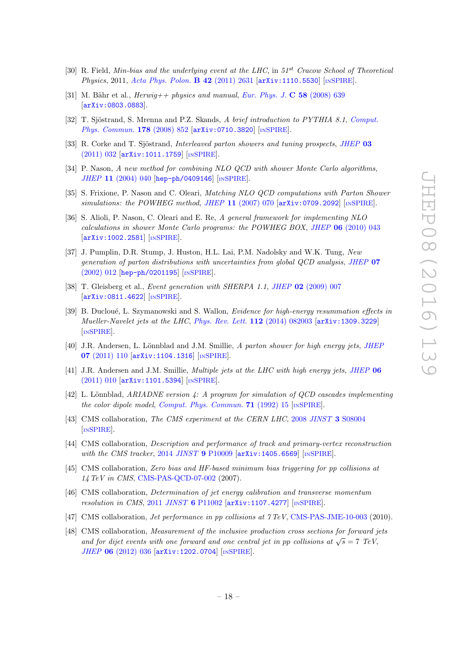- <span id="page-18-0"></span>[30] R. Field, Min-bias and the underlying event at the LHC, in  $51^{st}$  Cracow School of Theoretical Physics, 2011, [Acta Phys. Polon.](http://dx.doi.org/10.5506/APhysPolB.42.2631) B 42 (2011) 2631 [[arXiv:1110.5530](http://arxiv.org/abs/1110.5530)] [IN[SPIRE](http://inspirehep.net/search?p=find+EPRINT+arXiv:1110.5530)].
- <span id="page-18-1"></span>[31] M. Bähr et al.,  $Herviq++$  physics and manual, [Eur. Phys. J.](http://dx.doi.org/10.1140/epjc/s10052-008-0798-9) C 58 (2008) 639 [[arXiv:0803.0883](http://arxiv.org/abs/0803.0883)].
- <span id="page-18-2"></span>[32] T. Sjöstrand, S. Mrenna and P.Z. Skands, A brief introduction to PYTHIA 8.1, [Comput.](http://dx.doi.org/10.1016/j.cpc.2008.01.036) [Phys. Commun.](http://dx.doi.org/10.1016/j.cpc.2008.01.036) 178 (2008) 852 [[arXiv:0710.3820](http://arxiv.org/abs/0710.3820)] [IN[SPIRE](http://inspirehep.net/search?p=find+EPRINT+arXiv:0710.3820)].
- <span id="page-18-3"></span>[33] R. Corke and T. Sjöstrand, *Interleaved parton showers and tuning prospects*, *[JHEP](http://dx.doi.org/10.1007/JHEP03(2011)032)* 03 [\(2011\) 032](http://dx.doi.org/10.1007/JHEP03(2011)032) [[arXiv:1011.1759](http://arxiv.org/abs/1011.1759)] [IN[SPIRE](http://inspirehep.net/search?p=find+EPRINT+arXiv:1011.1759)].
- <span id="page-18-4"></span>[34] P. Nason, A new method for combining NLO QCD with shower Monte Carlo algorithms, JHEP 11 [\(2004\) 040](http://dx.doi.org/10.1088/1126-6708/2004/11/040) [[hep-ph/0409146](http://arxiv.org/abs/hep-ph/0409146)] [IN[SPIRE](http://inspirehep.net/search?p=find+EPRINT+hep-ph/0409146)].
- [35] S. Frixione, P. Nason and C. Oleari, Matching NLO QCD computations with Parton Shower simulations: the POWHEG method, JHEP 11 [\(2007\) 070](http://dx.doi.org/10.1088/1126-6708/2007/11/070)  $\ar{xiv:}$  0709.2092]  $\ln$ [SPIRE](http://inspirehep.net/search?p=find+EPRINT+arXiv:0709.2092).
- <span id="page-18-5"></span>[36] S. Alioli, P. Nason, C. Oleari and E. Re, A general framework for implementing NLO calculations in shower Monte Carlo programs: the POWHEG BOX, JHEP 06 [\(2010\) 043](http://dx.doi.org/10.1007/JHEP06(2010)043) [[arXiv:1002.2581](http://arxiv.org/abs/1002.2581)] [IN[SPIRE](http://inspirehep.net/search?p=find+EPRINT+arXiv:1002.2581)].
- <span id="page-18-6"></span>[37] J. Pumplin, D.R. Stump, J. Huston, H.L. Lai, P.M. Nadolsky and W.K. Tung, New generation of parton distributions with uncertainties from global QCD analysis, [JHEP](http://dx.doi.org/10.1088/1126-6708/2002/07/012) 07 [\(2002\) 012](http://dx.doi.org/10.1088/1126-6708/2002/07/012) [[hep-ph/0201195](http://arxiv.org/abs/hep-ph/0201195)] [IN[SPIRE](http://inspirehep.net/search?p=find+EPRINT+hep-ph/0201195)].
- <span id="page-18-7"></span>[38] T. Gleisberg et al., Event generation with SHERPA 1.1, JHEP 02 [\(2009\) 007](http://dx.doi.org/10.1088/1126-6708/2009/02/007) [[arXiv:0811.4622](http://arxiv.org/abs/0811.4622)] [IN[SPIRE](http://inspirehep.net/search?p=find+EPRINT+arXiv:0811.4622)].
- <span id="page-18-8"></span>[39] B. Ducloué, L. Szymanowski and S. Wallon, *Evidence for high-energy resummation effects in* Mueller-Navelet jets at the LHC, [Phys. Rev. Lett.](http://dx.doi.org/10.1103/PhysRevLett.112.082003) 112 (2014) 082003 [[arXiv:1309.3229](http://arxiv.org/abs/1309.3229)] [IN[SPIRE](http://inspirehep.net/search?p=find+EPRINT+arXiv:1309.3229)].
- <span id="page-18-9"></span>[40] J.R. Andersen, L. Lönnblad and J.M. Smillie, A parton shower for high energy jets, [JHEP](http://dx.doi.org/10.1007/JHEP07(2011)110) 07 [\(2011\) 110](http://dx.doi.org/10.1007/JHEP07(2011)110) [[arXiv:1104.1316](http://arxiv.org/abs/1104.1316)] [IN[SPIRE](http://inspirehep.net/search?p=find+EPRINT+arXiv:1104.1316)].
- <span id="page-18-10"></span>[41] J.R. Andersen and J.M. Smillie, *Multiple jets at the LHC with high energy jets, [JHEP](http://dx.doi.org/10.1007/JHEP06(2011)010)* 06 [\(2011\) 010](http://dx.doi.org/10.1007/JHEP06(2011)010) [[arXiv:1101.5394](http://arxiv.org/abs/1101.5394)] [IN[SPIRE](http://inspirehep.net/search?p=find+EPRINT+arXiv:1101.5394)].
- <span id="page-18-11"></span>[42] L. Lönnblad, ARIADNE version 4: A program for simulation of OCD cascades implementing the color dipole model, [Comput. Phys. Commun.](http://dx.doi.org/10.1016/0010-4655(92)90068-A)  $71$  (1992) 15  $\text{INSPIRE}$  $\text{INSPIRE}$  $\text{INSPIRE}$ .
- <span id="page-18-12"></span>[43] CMS collaboration, The CMS experiment at the CERN LHC, 2008 JINST 3 [S08004](http://dx.doi.org/10.1088/1748-0221/3/08/S08004) [IN[SPIRE](http://inspirehep.net/search?p=find+J+%22JINST,3,S08004%22)].
- <span id="page-18-13"></span>[44] CMS collaboration, Description and performance of track and primary-vertex reconstruction with the CMS tracker,  $2014$  JINST 9 [P10009](http://dx.doi.org/10.1088/1748-0221/9/10/P10009)  $arXiv:1405.6569$  [IN[SPIRE](http://inspirehep.net/search?p=find+EPRINT+arXiv:1405.6569)].
- <span id="page-18-14"></span>[45] CMS collaboration, Zero bias and HF-based minimum bias triggering for pp collisions at 14 TeV in CMS, [CMS-PAS-QCD-07-002](http://cds.cern.ch/record/1152558) (2007).
- <span id="page-18-15"></span>[46] CMS collaboration, Determination of jet energy calibration and transverse momentum resolution in CMS, 2011 JINST 6 [P11002](http://dx.doi.org/10.1088/1748-0221/6/11/P11002) [[arXiv:1107.4277](http://arxiv.org/abs/1107.4277)] [IN[SPIRE](http://inspirehep.net/search?p=find+EPRINT+arXiv:1107.4277)].
- <span id="page-18-16"></span>[47] CMS collaboration, *Jet performance in pp collisions at 7 TeV*, [CMS-PAS-JME-10-003](http://cds.cern.ch/record/1279362) (2010).
- <span id="page-18-17"></span>[48] CMS collaboration, Measurement of the inclusive production cross sections for forward jets and for dijet events with one forward and one central jet in pp collisions at  $\sqrt{s} = 7$  TeV, JHEP 06 [\(2012\) 036](http://dx.doi.org/10.1007/JHEP06(2012)036) [[arXiv:1202.0704](http://arxiv.org/abs/1202.0704)] [IN[SPIRE](http://inspirehep.net/search?p=find+EPRINT+arXiv:1202.0704)].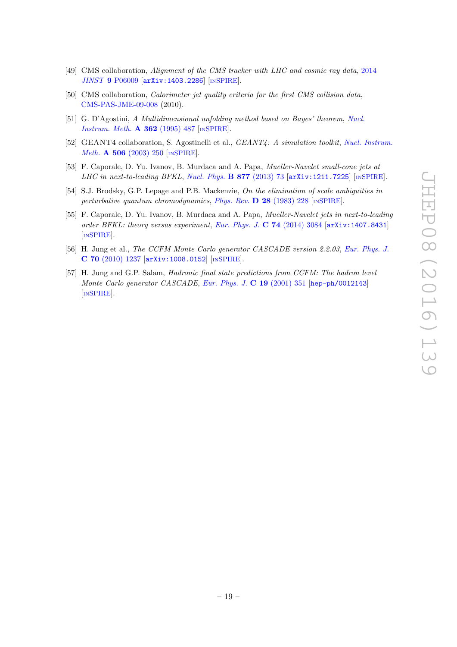- <span id="page-19-0"></span>[49] CMS collaboration, Alignment of the CMS tracker with LHC and cosmic ray data, [2014](http://dx.doi.org/10.1088/1748-0221/9/06/P06009) JINST 9 [P06009](http://dx.doi.org/10.1088/1748-0221/9/06/P06009) [[arXiv:1403.2286](http://arxiv.org/abs/1403.2286)] [IN[SPIRE](http://inspirehep.net/search?p=find+EPRINT+arXiv:1403.2286)].
- <span id="page-19-1"></span>[50] CMS collaboration, *Calorimeter jet quality criteria for the first CMS collision data*, [CMS-PAS-JME-09-008](http://cds.cern.ch/record/1259924) (2010).
- <span id="page-19-2"></span>[51] G. D'Agostini, A Multidimensional unfolding method based on Bayes' theorem, [Nucl.](http://dx.doi.org/10.1016/0168-9002(95)00274-X) [Instrum. Meth.](http://dx.doi.org/10.1016/0168-9002(95)00274-X) A 362 (1995) 487 [IN[SPIRE](http://inspirehep.net/search?p=find+J+%22Nucl.Instrum.Meth.,A362,487%22)].
- <span id="page-19-3"></span>[52] GEANT4 collaboration, S. Agostinelli et al., GEANT4: A simulation toolkit, [Nucl. Instrum.](http://dx.doi.org/10.1016/S0168-9002(03)01368-8) Meth. **A 506** [\(2003\) 250](http://dx.doi.org/10.1016/S0168-9002(03)01368-8) [IN[SPIRE](http://inspirehep.net/search?p=find+J+%22Nucl.Instrum.Meth.,A506,250%22)].
- <span id="page-19-4"></span>[53] F. Caporale, D. Yu. Ivanov, B. Murdaca and A. Papa, Mueller-Navelet small-cone jets at LHC in next-to-leading BFKL, [Nucl. Phys.](http://dx.doi.org/10.1016/j.nuclphysb.2013.09.013)  $B$  877 (2013) 73  $arXiv:1211.7225$  [IN[SPIRE](http://inspirehep.net/search?p=find+EPRINT+arXiv:1211.7225)].
- <span id="page-19-5"></span>[54] S.J. Brodsky, G.P. Lepage and P.B. Mackenzie, On the elimination of scale ambiguities in perturbative quantum chromodynamics, [Phys. Rev.](http://dx.doi.org/10.1103/PhysRevD.28.228)  $\bf{D}$  28 (1983) 228 [IN[SPIRE](http://inspirehep.net/search?p=find+J+%22Phys.Rev.,D28,228%22)].
- <span id="page-19-6"></span>[55] F. Caporale, D. Yu. Ivanov, B. Murdaca and A. Papa, Mueller-Navelet jets in next-to-leading order BFKL: theory versus experiment, [Eur. Phys. J.](http://dx.doi.org/10.1140/epjc/s10052-015-3754-5) C 74 (2014) 3084 [[arXiv:1407.8431](http://arxiv.org/abs/1407.8431)] [IN[SPIRE](http://inspirehep.net/search?p=find+EPRINT+arXiv:1407.8431)].
- <span id="page-19-7"></span>[56] H. Jung et al., The CCFM Monte Carlo generator CASCADE version 2.2.03, [Eur. Phys. J.](http://dx.doi.org/10.1140/epjc/s10052-010-1507-z) C 70 [\(2010\) 1237](http://dx.doi.org/10.1140/epjc/s10052-010-1507-z) [[arXiv:1008.0152](http://arxiv.org/abs/1008.0152)] [IN[SPIRE](http://inspirehep.net/search?p=find+EPRINT+arXiv:1008.0152)].
- <span id="page-19-8"></span>[57] H. Jung and G.P. Salam, Hadronic final state predictions from CCFM: The hadron level Monte Carlo generator CASCADE, [Eur. Phys. J.](http://dx.doi.org/10.1007/s100520100604) C 19 (2001) 351 [[hep-ph/0012143](http://arxiv.org/abs/hep-ph/0012143)] [IN[SPIRE](http://inspirehep.net/search?p=find+EPRINT+hep-ph/0012143)].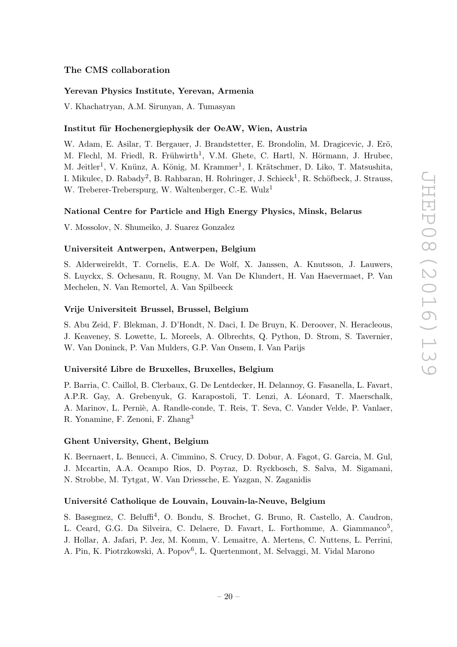## The CMS collaboration

### <span id="page-20-0"></span>Yerevan Physics Institute, Yerevan, Armenia

V. Khachatryan, A.M. Sirunyan, A. Tumasyan

#### Institut für Hochenergiephysik der OeAW, Wien, Austria

W. Adam, E. Asilar, T. Bergauer, J. Brandstetter, E. Brondolin, M. Dragicevic, J. Erö, M. Flechl, M. Friedl, R. Frühwirth<sup>1</sup>, V.M. Ghete, C. Hartl, N. Hörmann, J. Hrubec, M. Jeitler<sup>1</sup>, V. Knünz, A. König, M. Krammer<sup>1</sup>, I. Krätschmer, D. Liko, T. Matsushita, I. Mikulec, D. Rabady<sup>2</sup>, B. Rahbaran, H. Rohringer, J. Schieck<sup>1</sup>, R. Schöfbeck, J. Strauss, W. Treberer-Treberspurg, W. Waltenberger, C.-E. Wulz<sup>1</sup>

#### National Centre for Particle and High Energy Physics, Minsk, Belarus

V. Mossolov, N. Shumeiko, J. Suarez Gonzalez

### Universiteit Antwerpen, Antwerpen, Belgium

S. Alderweireldt, T. Cornelis, E.A. De Wolf, X. Janssen, A. Knutsson, J. Lauwers, S. Luyckx, S. Ochesanu, R. Rougny, M. Van De Klundert, H. Van Haevermaet, P. Van Mechelen, N. Van Remortel, A. Van Spilbeeck

### Vrije Universiteit Brussel, Brussel, Belgium

S. Abu Zeid, F. Blekman, J. D'Hondt, N. Daci, I. De Bruyn, K. Deroover, N. Heracleous, J. Keaveney, S. Lowette, L. Moreels, A. Olbrechts, Q. Python, D. Strom, S. Tavernier, W. Van Doninck, P. Van Mulders, G.P. Van Onsem, I. Van Parijs

## Université Libre de Bruxelles, Bruxelles, Belgium

P. Barria, C. Caillol, B. Clerbaux, G. De Lentdecker, H. Delannoy, G. Fasanella, L. Favart, A.P.R. Gay, A. Grebenyuk, G. Karapostoli, T. Lenzi, A. Léonard, T. Maerschalk, A. Marinov, L. Perniè, A. Randle-conde, T. Reis, T. Seva, C. Vander Velde, P. Vanlaer, R. Yonamine, F. Zenoni, F. Zhang<sup>3</sup>

### Ghent University, Ghent, Belgium

K. Beernaert, L. Benucci, A. Cimmino, S. Crucy, D. Dobur, A. Fagot, G. Garcia, M. Gul, J. Mccartin, A.A. Ocampo Rios, D. Poyraz, D. Ryckbosch, S. Salva, M. Sigamani, N. Strobbe, M. Tytgat, W. Van Driessche, E. Yazgan, N. Zaganidis

#### Université Catholique de Louvain, Louvain-la-Neuve, Belgium

S. Basegmez, C. Beluffi<sup>4</sup>, O. Bondu, S. Brochet, G. Bruno, R. Castello, A. Caudron, L. Ceard, G.G. Da Silveira, C. Delaere, D. Favart, L. Forthomme, A. Giammanco<sup>5</sup>, J. Hollar, A. Jafari, P. Jez, M. Komm, V. Lemaitre, A. Mertens, C. Nuttens, L. Perrini, A. Pin, K. Piotrzkowski, A. Popov<sup>6</sup>, L. Quertenmont, M. Selvaggi, M. Vidal Marono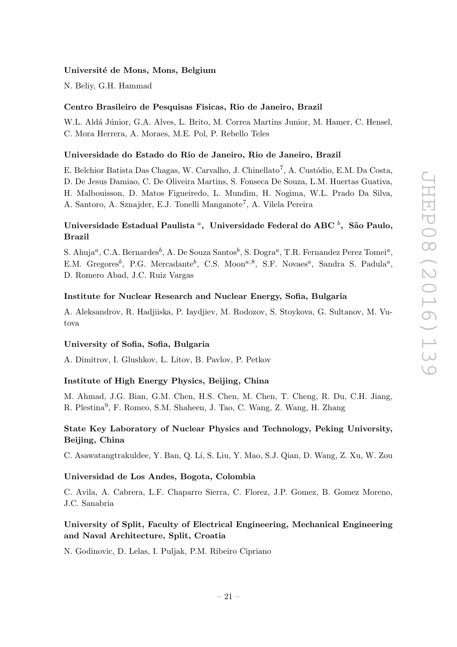### Université de Mons, Mons, Belgium

N. Beliy, G.H. Hammad

#### Centro Brasileiro de Pesquisas Fisicas, Rio de Janeiro, Brazil

W.L. Aldá Júnior, G.A. Alves, L. Brito, M. Correa Martins Junior, M. Hamer, C. Hensel, C. Mora Herrera, A. Moraes, M.E. Pol, P. Rebello Teles

### Universidade do Estado do Rio de Janeiro, Rio de Janeiro, Brazil

E. Belchior Batista Das Chagas, W. Carvalho, J. Chinellato<sup>7</sup>, A. Custódio, E.M. Da Costa, D. De Jesus Damiao, C. De Oliveira Martins, S. Fonseca De Souza, L.M. Huertas Guativa, H. Malbouisson, D. Matos Figueiredo, L. Mundim, H. Nogima, W.L. Prado Da Silva, A. Santoro, A. Sznajder, E.J. Tonelli Manganote<sup>7</sup>, A. Vilela Pereira

## Universidade Estadual Paulista  $^a,\,$  Universidade Federal do ABC  $^b,\,$  São Paulo, Brazil

S. Ahuja<sup>a</sup>, C.A. Bernardes<sup>b</sup>, A. De Souza Santos<sup>b</sup>, S. Dogra<sup>a</sup>, T.R. Fernandez Perez Tomei<sup>a</sup>, E.M. Gregores<sup>b</sup>, P.G. Mercadante<sup>b</sup>, C.S. Moon<sup>a, 8</sup>, S.F. Novaes<sup>a</sup>, Sandra S. Padula<sup>a</sup>, D. Romero Abad, J.C. Ruiz Vargas

#### Institute for Nuclear Research and Nuclear Energy, Sofia, Bulgaria

A. Aleksandrov, R. Hadjiiska, P. Iaydjiev, M. Rodozov, S. Stoykova, G. Sultanov, M. Vutova

#### University of Sofia, Sofia, Bulgaria

A. Dimitrov, I. Glushkov, L. Litov, B. Pavlov, P. Petkov

#### Institute of High Energy Physics, Beijing, China

M. Ahmad, J.G. Bian, G.M. Chen, H.S. Chen, M. Chen, T. Cheng, R. Du, C.H. Jiang, R. Plestina<sup>9</sup>, F. Romeo, S.M. Shaheen, J. Tao, C. Wang, Z. Wang, H. Zhang

## State Key Laboratory of Nuclear Physics and Technology, Peking University, Beijing, China

C. Asawatangtrakuldee, Y. Ban, Q. Li, S. Liu, Y. Mao, S.J. Qian, D. Wang, Z. Xu, W. Zou

## Universidad de Los Andes, Bogota, Colombia

C. Avila, A. Cabrera, L.F. Chaparro Sierra, C. Florez, J.P. Gomez, B. Gomez Moreno, J.C. Sanabria

## University of Split, Faculty of Electrical Engineering, Mechanical Engineering and Naval Architecture, Split, Croatia

N. Godinovic, D. Lelas, I. Puljak, P.M. Ribeiro Cipriano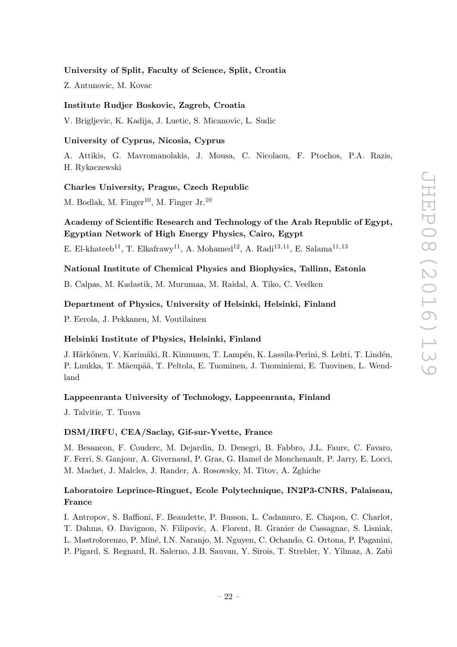### University of Split, Faculty of Science, Split, Croatia

Z. Antunovic, M. Kovac

#### Institute Rudjer Boskovic, Zagreb, Croatia

V. Brigljevic, K. Kadija, J. Luetic, S. Micanovic, L. Sudic

### University of Cyprus, Nicosia, Cyprus

A. Attikis, G. Mavromanolakis, J. Mousa, C. Nicolaou, F. Ptochos, P.A. Razis, H. Rykaczewski

### Charles University, Prague, Czech Republic

M. Bodlak, M. Finger<sup>10</sup>, M. Finger Jr.<sup>10</sup>

## Academy of Scientific Research and Technology of the Arab Republic of Egypt, Egyptian Network of High Energy Physics, Cairo, Egypt

E. El-khateeb<sup>11</sup>, T. Elkafrawy<sup>11</sup>, A. Mohamed<sup>12</sup>, A. Radi<sup>13,11</sup>, E. Salama<sup>11,13</sup>

## National Institute of Chemical Physics and Biophysics, Tallinn, Estonia

B. Calpas, M. Kadastik, M. Murumaa, M. Raidal, A. Tiko, C. Veelken

## Department of Physics, University of Helsinki, Helsinki, Finland

P. Eerola, J. Pekkanen, M. Voutilainen

### Helsinki Institute of Physics, Helsinki, Finland

J. Härkönen, V. Karimäki, R. Kinnunen, T. Lampén, K. Lassila-Perini, S. Lehti, T. Lindén, P. Luukka, T. Mäenpää, T. Peltola, E. Tuominen, J. Tuominiemi, E. Tuovinen, L. Wendland

### Lappeenranta University of Technology, Lappeenranta, Finland

J. Talvitie, T. Tuuva

### DSM/IRFU, CEA/Saclay, Gif-sur-Yvette, France

M. Besancon, F. Couderc, M. Dejardin, D. Denegri, B. Fabbro, J.L. Faure, C. Favaro, F. Ferri, S. Ganjour, A. Givernaud, P. Gras, G. Hamel de Monchenault, P. Jarry, E. Locci, M. Machet, J. Malcles, J. Rander, A. Rosowsky, M. Titov, A. Zghiche

## Laboratoire Leprince-Ringuet, Ecole Polytechnique, IN2P3-CNRS, Palaiseau, France

I. Antropov, S. Baffioni, F. Beaudette, P. Busson, L. Cadamuro, E. Chapon, C. Charlot, T. Dahms, O. Davignon, N. Filipovic, A. Florent, R. Granier de Cassagnac, S. Lisniak, L. Mastrolorenzo, P. Miné, I.N. Naranjo, M. Nguyen, C. Ochando, G. Ortona, P. Paganini, P. Pigard, S. Regnard, R. Salerno, J.B. Sauvan, Y. Sirois, T. Strebler, Y. Yilmaz, A. Zabi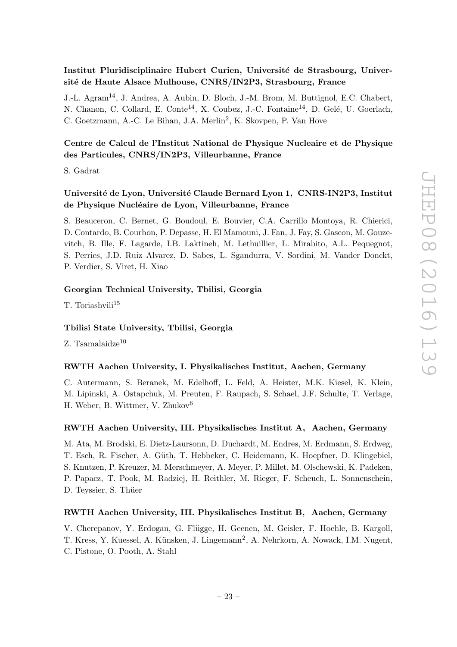## Institut Pluridisciplinaire Hubert Curien, Université de Strasbourg, Université de Haute Alsace Mulhouse, CNRS/IN2P3, Strasbourg, France

J.-L. Agram14, J. Andrea, A. Aubin, D. Bloch, J.-M. Brom, M. Buttignol, E.C. Chabert, N. Chanon, C. Collard, E. Conte<sup>14</sup>, X. Coubez, J.-C. Fontaine<sup>14</sup>, D. Gelé, U. Goerlach, C. Goetzmann, A.-C. Le Bihan, J.A. Merlin<sup>2</sup>, K. Skovpen, P. Van Hove

## Centre de Calcul de l'Institut National de Physique Nucleaire et de Physique des Particules, CNRS/IN2P3, Villeurbanne, France

S. Gadrat

## Université de Lyon, Université Claude Bernard Lyon 1, CNRS-IN2P3, Institut de Physique Nucléaire de Lyon, Villeurbanne, France

S. Beauceron, C. Bernet, G. Boudoul, E. Bouvier, C.A. Carrillo Montoya, R. Chierici, D. Contardo, B. Courbon, P. Depasse, H. El Mamouni, J. Fan, J. Fay, S. Gascon, M. Gouzevitch, B. Ille, F. Lagarde, I.B. Laktineh, M. Lethuillier, L. Mirabito, A.L. Pequegnot, S. Perries, J.D. Ruiz Alvarez, D. Sabes, L. Sgandurra, V. Sordini, M. Vander Donckt, P. Verdier, S. Viret, H. Xiao

## Georgian Technical University, Tbilisi, Georgia

T. Toriashvili $^{15}$ 

## Tbilisi State University, Tbilisi, Georgia

Z. Tsamalaidze<sup>10</sup>

### RWTH Aachen University, I. Physikalisches Institut, Aachen, Germany

C. Autermann, S. Beranek, M. Edelhoff, L. Feld, A. Heister, M.K. Kiesel, K. Klein, M. Lipinski, A. Ostapchuk, M. Preuten, F. Raupach, S. Schael, J.F. Schulte, T. Verlage, H. Weber, B. Wittmer, V. Zhukov<sup>6</sup>

### RWTH Aachen University, III. Physikalisches Institut A, Aachen, Germany

M. Ata, M. Brodski, E. Dietz-Laursonn, D. Duchardt, M. Endres, M. Erdmann, S. Erdweg, T. Esch, R. Fischer, A. Güth, T. Hebbeker, C. Heidemann, K. Hoepfner, D. Klingebiel, S. Knutzen, P. Kreuzer, M. Merschmeyer, A. Meyer, P. Millet, M. Olschewski, K. Padeken, P. Papacz, T. Pook, M. Radziej, H. Reithler, M. Rieger, F. Scheuch, L. Sonnenschein, D. Teyssier, S. Thüer

### RWTH Aachen University, III. Physikalisches Institut B, Aachen, Germany

V. Cherepanov, Y. Erdogan, G. Fl¨ugge, H. Geenen, M. Geisler, F. Hoehle, B. Kargoll, T. Kress, Y. Kuessel, A. Künsken, J. Lingemann<sup>2</sup>, A. Nehrkorn, A. Nowack, I.M. Nugent, C. Pistone, O. Pooth, A. Stahl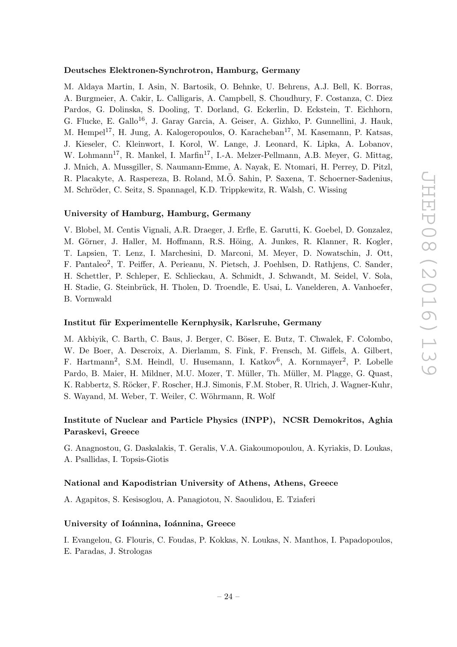### Deutsches Elektronen-Synchrotron, Hamburg, Germany

M. Aldaya Martin, I. Asin, N. Bartosik, O. Behnke, U. Behrens, A.J. Bell, K. Borras, A. Burgmeier, A. Cakir, L. Calligaris, A. Campbell, S. Choudhury, F. Costanza, C. Diez Pardos, G. Dolinska, S. Dooling, T. Dorland, G. Eckerlin, D. Eckstein, T. Eichhorn, G. Flucke, E. Gallo<sup>16</sup>, J. Garay Garcia, A. Geiser, A. Gizhko, P. Gunnellini, J. Hauk, M. Hempel<sup>17</sup>, H. Jung, A. Kalogeropoulos, O. Karacheban<sup>17</sup>, M. Kasemann, P. Katsas, J. Kieseler, C. Kleinwort, I. Korol, W. Lange, J. Leonard, K. Lipka, A. Lobanov, W. Lohmann<sup>17</sup>, R. Mankel, I. Marfin<sup>17</sup>, I.-A. Melzer-Pellmann, A.B. Meyer, G. Mittag, J. Mnich, A. Mussgiller, S. Naumann-Emme, A. Nayak, E. Ntomari, H. Perrey, D. Pitzl, R. Placakyte, A. Raspereza, B. Roland, M.O. Sahin, P. Saxena, T. Schoerner-Sadenius, M. Schröder, C. Seitz, S. Spannagel, K.D. Trippkewitz, R. Walsh, C. Wissing

## University of Hamburg, Hamburg, Germany

V. Blobel, M. Centis Vignali, A.R. Draeger, J. Erfle, E. Garutti, K. Goebel, D. Gonzalez, M. Görner, J. Haller, M. Hoffmann, R.S. Höing, A. Junkes, R. Klanner, R. Kogler, T. Lapsien, T. Lenz, I. Marchesini, D. Marconi, M. Meyer, D. Nowatschin, J. Ott, F. Pantaleo<sup>2</sup>, T. Peiffer, A. Perieanu, N. Pietsch, J. Poehlsen, D. Rathjens, C. Sander, H. Schettler, P. Schleper, E. Schlieckau, A. Schmidt, J. Schwandt, M. Seidel, V. Sola, H. Stadie, G. Steinbrück, H. Tholen, D. Troendle, E. Usai, L. Vanelderen, A. Vanhoefer, B. Vormwald

### Institut für Experimentelle Kernphysik, Karlsruhe, Germany

M. Akbiyik, C. Barth, C. Baus, J. Berger, C. Böser, E. Butz, T. Chwalek, F. Colombo, W. De Boer, A. Descroix, A. Dierlamm, S. Fink, F. Frensch, M. Giffels, A. Gilbert, F. Hartmann<sup>2</sup>, S.M. Heindl, U. Husemann, I. Katkov<sup>6</sup>, A. Kornmayer<sup>2</sup>, P. Lobelle Pardo, B. Maier, H. Mildner, M.U. Mozer, T. Müller, Th. Müller, M. Plagge, G. Quast, K. Rabbertz, S. Röcker, F. Roscher, H.J. Simonis, F.M. Stober, R. Ulrich, J. Wagner-Kuhr, S. Wayand, M. Weber, T. Weiler, C. Wöhrmann, R. Wolf

## Institute of Nuclear and Particle Physics (INPP), NCSR Demokritos, Aghia Paraskevi, Greece

G. Anagnostou, G. Daskalakis, T. Geralis, V.A. Giakoumopoulou, A. Kyriakis, D. Loukas, A. Psallidas, I. Topsis-Giotis

#### National and Kapodistrian University of Athens, Athens, Greece

A. Agapitos, S. Kesisoglou, A. Panagiotou, N. Saoulidou, E. Tziaferi

#### University of Ioánnina, Ioánnina, Greece

I. Evangelou, G. Flouris, C. Foudas, P. Kokkas, N. Loukas, N. Manthos, I. Papadopoulos, E. Paradas, J. Strologas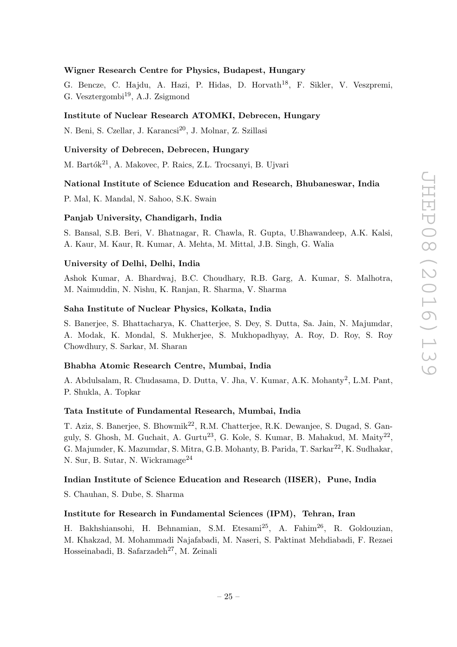#### Wigner Research Centre for Physics, Budapest, Hungary

G. Bencze, C. Hajdu, A. Hazi, P. Hidas, D. Horvath<sup>18</sup>, F. Sikler, V. Veszpremi, G. Vesztergombi $^{19}$ , A.J. Zsigmond

## Institute of Nuclear Research ATOMKI, Debrecen, Hungary

N. Beni, S. Czellar, J. Karancsi<sup>20</sup>, J. Molnar, Z. Szillasi

## University of Debrecen, Debrecen, Hungary

M. Bartók<sup>21</sup>, A. Makovec, P. Raics, Z.L. Trocsanyi, B. Ujvari

## National Institute of Science Education and Research, Bhubaneswar, India

P. Mal, K. Mandal, N. Sahoo, S.K. Swain

### Panjab University, Chandigarh, India

S. Bansal, S.B. Beri, V. Bhatnagar, R. Chawla, R. Gupta, U.Bhawandeep, A.K. Kalsi, A. Kaur, M. Kaur, R. Kumar, A. Mehta, M. Mittal, J.B. Singh, G. Walia

#### University of Delhi, Delhi, India

Ashok Kumar, A. Bhardwaj, B.C. Choudhary, R.B. Garg, A. Kumar, S. Malhotra, M. Naimuddin, N. Nishu, K. Ranjan, R. Sharma, V. Sharma

### Saha Institute of Nuclear Physics, Kolkata, India

S. Banerjee, S. Bhattacharya, K. Chatterjee, S. Dey, S. Dutta, Sa. Jain, N. Majumdar, A. Modak, K. Mondal, S. Mukherjee, S. Mukhopadhyay, A. Roy, D. Roy, S. Roy Chowdhury, S. Sarkar, M. Sharan

## Bhabha Atomic Research Centre, Mumbai, India

A. Abdulsalam, R. Chudasama, D. Dutta, V. Jha, V. Kumar, A.K. Mohanty<sup>2</sup>, L.M. Pant, P. Shukla, A. Topkar

### Tata Institute of Fundamental Research, Mumbai, India

T. Aziz, S. Banerjee, S. Bhowmik<sup>22</sup>, R.M. Chatterjee, R.K. Dewanjee, S. Dugad, S. Ganguly, S. Ghosh, M. Guchait, A. Gurtu<sup>23</sup>, G. Kole, S. Kumar, B. Mahakud, M. Maity<sup>22</sup>, G. Majumder, K. Mazumdar, S. Mitra, G.B. Mohanty, B. Parida, T. Sarkar22, K. Sudhakar, N. Sur, B. Sutar, N. Wickramage<sup>24</sup>

## Indian Institute of Science Education and Research (IISER), Pune, India

S. Chauhan, S. Dube, S. Sharma

## Institute for Research in Fundamental Sciences (IPM), Tehran, Iran

H. Bakhshiansohi, H. Behnamian, S.M. Etesami25, A. Fahim26, R. Goldouzian, M. Khakzad, M. Mohammadi Najafabadi, M. Naseri, S. Paktinat Mehdiabadi, F. Rezaei Hosseinabadi, B. Safarzadeh<sup>27</sup>, M. Zeinali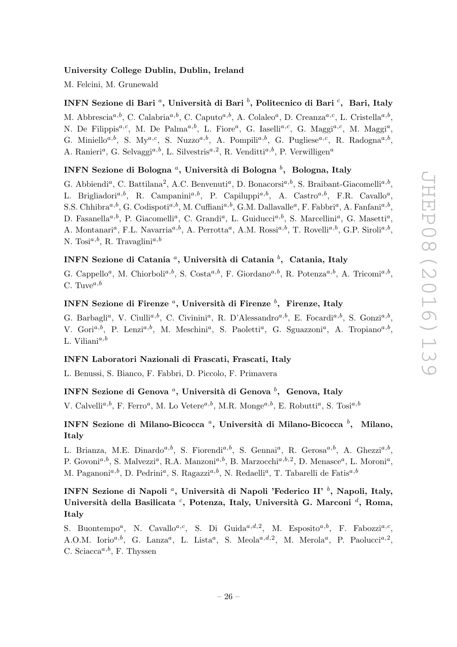### University College Dublin, Dublin, Ireland

M. Felcini, M. Grunewald

## INFN Sezione di Bari <sup>a</sup>, Università di Bari  $^b$ , Politecnico di Bari  $^c$ , Bari, Italy

M. Abbrescia<sup>a,b</sup>, C. Calabria<sup>a,b</sup>, C. Caputo<sup>a,b</sup>, A. Colaleo<sup>a</sup>, D. Creanza<sup>a,c</sup>, L. Cristella<sup>a,b</sup>, N. De Filippis<sup>a,c</sup>, M. De Palma<sup>a,b</sup>, L. Fiore<sup>a</sup>, G. Iaselli<sup>a,c</sup>, G. Maggi<sup>a,c</sup>, M. Maggi<sup>a</sup>, G. Miniello<sup>a,b</sup>, S. My<sup>a,c</sup>, S. Nuzzo<sup>a,b</sup>, A. Pompili<sup>a,b</sup>, G. Pugliese<sup>a,c</sup>, R. Radogna<sup>a,b</sup>, A. Ranieri<sup>a</sup>, G. Selvaggi<sup>a,b</sup>, L. Silvestris<sup>a,2</sup>, R. Venditti<sup>a,b</sup>, P. Verwilligen<sup>a</sup>

## INFN Sezione di Bologna <sup>a</sup>, Università di Bologna  $^b$ , Bologna, Italy

G. Abbiendi<sup>a</sup>, C. Battilana<sup>2</sup>, A.C. Benvenuti<sup>a</sup>, D. Bonacorsi<sup>a,b</sup>, S. Braibant-Giacomelli<sup>a,b</sup>, L. Brigliadori<sup>a,b</sup>, R. Campanini<sup>a,b</sup>, P. Capiluppi<sup>a,b</sup>, A. Castro<sup>a,b</sup>, F.R. Cavallo<sup>a</sup>, S.S. Chhibra<sup>a,b</sup>, G. Codispoti<sup>a,b</sup>, M. Cuffiani<sup>a,b</sup>, G.M. Dallavalle<sup>a</sup>, F. Fabbri<sup>a</sup>, A. Fanfani<sup>a,b</sup>, D. Fasanella<sup>a,b</sup>, P. Giacomelli<sup>a</sup>, C. Grandi<sup>a</sup>, L. Guiducci<sup>a,b</sup>, S. Marcellini<sup>a</sup>, G. Masetti<sup>a</sup>, A. Montanari<sup>a</sup>, F.L. Navarria<sup>a,b</sup>, A. Perrotta<sup>a</sup>, A.M. Rossi<sup>a,b</sup>, T. Rovelli<sup>a,b</sup>, G.P. Siroli<sup>a,b</sup>, N. Tosi<sup> $a,b$ </sup>, R. Travaglini<sup> $a,b$ </sup>

## INFN Sezione di Catania <sup>a</sup>, Università di Catania  $^b$ , Catania, Italy

G. Cappello<sup>a</sup>, M. Chiorboli<sup>a,b</sup>, S. Costa<sup>a,b</sup>, F. Giordano<sup>a,b</sup>, R. Potenza<sup>a,b</sup>, A. Tricomi<sup>a,b</sup>, C. Tuve<sup> $a,b$ </sup>

## INFN Sezione di Firenze  $^a,$  Università di Firenze  $^b, \,$  Firenze, Italy

G. Barbagli<sup>a</sup>, V. Ciulli<sup>a,b</sup>, C. Civinini<sup>a</sup>, R. D'Alessandro<sup>a,b</sup>, E. Focardi<sup>a,b</sup>, S. Gonzi<sup>a,b</sup>, V. Gori<sup>a,b</sup>, P. Lenzi<sup>a,b</sup>, M. Meschini<sup>a</sup>, S. Paoletti<sup>a</sup>, G. Sguazzoni<sup>a</sup>, A. Tropiano<sup>a,b</sup>, L. Viliani $a,b$ 

## INFN Laboratori Nazionali di Frascati, Frascati, Italy

L. Benussi, S. Bianco, F. Fabbri, D. Piccolo, F. Primavera

## INFN Sezione di Genova <sup>a</sup>, Università di Genova  $^b$ , Genova, Italy

V. Calvelli<sup>a, b</sup>, F. Ferro<sup>a</sup>, M. Lo Vetere<sup>a, b</sup>, M.R. Monge<sup>a, b</sup>, E. Robutti<sup>a</sup>, S. Tosi<sup>a, b</sup>

## INFN Sezione di Milano-Bicocca <sup>a</sup>, Università di Milano-Bicocca <sup>b</sup>, Milano, Italy

L. Brianza, M.E. Dinardo<sup>a,b</sup>, S. Fiorendi<sup>a,b</sup>, S. Gennai<sup>a</sup>, R. Gerosa<sup>a,b</sup>, A. Ghezzi<sup>a,b</sup>, P. Govoni<sup>a, b</sup>, S. Malvezzi<sup>a</sup>, R.A. Manzoni<sup>a, b</sup>, B. Marzocchi<sup>a, b, 2</sup>, D. Menasce<sup>a</sup>, L. Moroni<sup>a</sup>, M. Paganoni<sup>a,b</sup>, D. Pedrini<sup>a</sup>, S. Ragazzi<sup>a,b</sup>, N. Redaelli<sup>a</sup>, T. Tabarelli de Fatis<sup>a,b</sup>

## INFN Sezione di Napoli <sup>a</sup>, Università di Napoli 'Federico II'  $^b$ , Napoli, Italy, Università della Basilicata  $^c$ , Potenza, Italy, Università G. Marconi  $^d$ , Roma, Italy

S. Buontempo<sup>a</sup>, N. Cavallo<sup>a,c</sup>, S. Di Guida<sup>a,d,2</sup>, M. Esposito<sup>a,b</sup>, F. Fabozzi<sup>a,c</sup>, A.O.M. Iorio<sup>a,b</sup>, G. Lanza<sup>a</sup>, L. Lista<sup>a</sup>, S. Meola<sup>a,d,2</sup>, M. Merola<sup>a</sup>, P. Paolucci<sup>a,2</sup>, C. Sciacca<sup> $a,b$ </sup>, F. Thyssen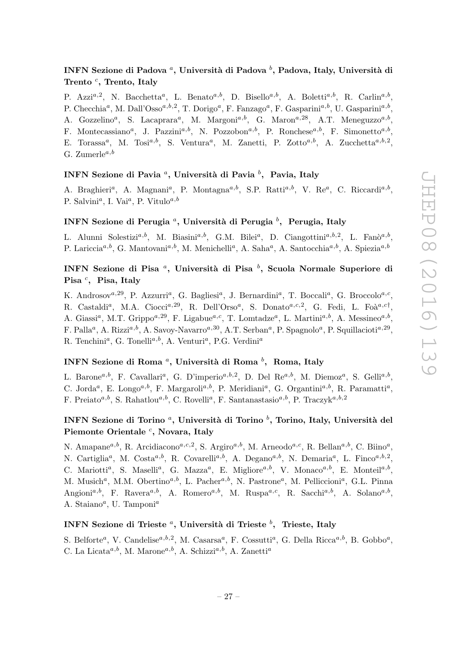## INFN Sezione di Padova <sup>a</sup>, Università di Padova  $^b$ , Padova, Italy, Università di  $Trento<sup>c</sup>$ , Trento, Italy

P. Azzi<sup>a,2</sup>, N. Bacchetta<sup>a</sup>, L. Benato<sup>a,b</sup>, D. Bisello<sup>a,b</sup>, A. Boletti<sup>a,b</sup>, R. Carlin<sup>a,b</sup>, P. Checchia<sup>a</sup>, M. Dall'Osso<sup>a,b,2</sup>, T. Dorigo<sup>a</sup>, F. Fanzago<sup>a</sup>, F. Gasparini<sup>a,b</sup>, U. Gasparini<sup>a,b</sup>, A. Gozzelino<sup>a</sup>, S. Lacaprara<sup>a</sup>, M. Margoni<sup>a,b</sup>, G. Maron<sup>a,28</sup>, A.T. Meneguzzo<sup>a,b</sup>, F. Montecassiano<sup>a</sup>, J. Pazzini<sup>a,b</sup>, N. Pozzobon<sup>a,b</sup>, P. Ronchese<sup>a,b</sup>, F. Simonetto<sup>a,b</sup>, E. Torassa<sup>a</sup>, M. Tosi<sup>a,b</sup>, S. Ventura<sup>a</sup>, M. Zanetti, P. Zotto<sup>a,b</sup>, A. Zucchetta<sup>a,b,2</sup>, G. Zumerle<sup>a,b</sup>

## INFN Sezione di Pavia <sup>a</sup>, Università di Pavia  $^b$ , Pavia, Italy

A. Braghieri<sup>a</sup>, A. Magnani<sup>a</sup>, P. Montagna<sup>a,b</sup>, S.P. Ratti<sup>a,b</sup>, V. Re<sup>a</sup>, C. Riccardi<sup>a,b</sup>, P. Salvini<sup>a</sup>, I. Vai<sup>a</sup>, P. Vitulo<sup>a,b</sup>

## INFN Sezione di Perugia  $^a,$  Università di Perugia  $^b, \,$  Perugia, Italy

L. Alunni Solestizi<sup>a,b</sup>, M. Biasini<sup>a,b</sup>, G.M. Bilei<sup>a</sup>, D. Ciangottini<sup>a,b,2</sup>, L. Fanò<sup>a,b</sup>, P. Lariccia<sup>a,b</sup>, G. Mantovani<sup>a,b</sup>, M. Menichelli<sup>a</sup>, A. Saha<sup>a</sup>, A. Santocchia<sup>a,b</sup>, A. Spiezia<sup>a,b</sup>

## INFN Sezione di Pisa <sup>a</sup>, Università di Pisa <sup>b</sup>, Scuola Normale Superiore di Pisa<sup>c</sup>, Pisa, Italy

K. Androsov<sup>a, 29</sup>, P. Azzurri<sup>a</sup>, G. Bagliesi<sup>a</sup>, J. Bernardini<sup>a</sup>, T. Boccali<sup>a</sup>, G. Broccolo<sup>a, c</sup>, R. Castaldi<sup>a</sup>, M.A. Ciocci<sup>a, 29</sup>, R. Dell'Orso<sup>a</sup>, S. Donato<sup>a, c, 2</sup>, G. Fedi, L. Foà<sup>a, c†</sup>, A. Giassi<sup>a</sup>, M.T. Grippo<sup>a, 29</sup>, F. Ligabue<sup>a, c</sup>, T. Lomtadze<sup>a</sup>, L. Martini<sup>a, b</sup>, A. Messineo<sup>a, b</sup>, F. Palla<sup>a</sup>, A. Rizzi<sup>a,b</sup>, A. Savoy-Navarro<sup>a, 30</sup>, A.T. Serban<sup>a</sup>, P. Spagnolo<sup>a</sup>, P. Squillacioti<sup>a, 29</sup>, R. Tenchini<sup>a</sup>, G. Tonelli<sup>a,b</sup>, A. Venturi<sup>a</sup>, P.G. Verdini<sup>a</sup>

## INFN Sezione di Roma  $^a,$  Università di Roma  $^b, \, \,$  Roma, Italy

L. Barone<sup>a,b</sup>, F. Cavallari<sup>a</sup>, G. D'imperio<sup>a,b,2</sup>, D. Del Re<sup>a,b</sup>, M. Diemoz<sup>a</sup>, S. Gelli<sup>a,b</sup>, C. Jorda<sup>a</sup>, E. Longo<sup>a,b</sup>, F. Margaroli<sup>a,b</sup>, P. Meridiani<sup>a</sup>, G. Organtini<sup>a,b</sup>, R. Paramatti<sup>a</sup>, F. Preiato<sup>a,b</sup>, S. Rahatlou<sup>a,b</sup>, C. Rovelli<sup>a</sup>, F. Santanastasio<sup>a,b</sup>, P. Traczyk<sup>a,b,2</sup>

## INFN Sezione di Torino <sup>a</sup>, Università di Torino  $^b,$  Torino, Italy, Università del Piemonte Orientale  $^c$ , Novara, Italy

N. Amapane<sup>a,b</sup>, R. Arcidiacono<sup>a,c,2</sup>, S. Argiro<sup>a,b</sup>, M. Arneodo<sup>a,c</sup>, R. Bellan<sup>a,b</sup>, C. Biino<sup>a</sup>, N. Cartiglia<sup>a</sup>, M. Costa<sup>a,b</sup>, R. Covarelli<sup>a,b</sup>, A. Degano<sup>a,b</sup>, N. Demaria<sup>a</sup>, L. Finco<sup>a,b,2</sup>, C. Mariotti<sup>a</sup>, S. Maselli<sup>a</sup>, G. Mazza<sup>a</sup>, E. Migliore<sup>a,b</sup>, V. Monaco<sup>a,b</sup>, E. Monteil<sup>a,b</sup>, M. Musich<sup>a</sup>, M.M. Obertino<sup>a,b</sup>, L. Pacher<sup>a,b</sup>, N. Pastrone<sup>a</sup>, M. Pelliccioni<sup>a</sup>, G.L. Pinna Angioni<sup>a,b</sup>, F. Ravera<sup>a,b</sup>, A. Romero<sup>a,b</sup>, M. Ruspa<sup>a,c</sup>, R. Sacchi<sup>a,b</sup>, A. Solano<sup>a,b</sup>, A. Staiano<sup>a</sup>, U. Tamponi<sup>a</sup>

## INFN Sezione di Trieste <sup>a</sup>, Università di Trieste  $^b$ , Trieste, Italy

S. Belforte<sup>a</sup>, V. Candelise<sup>a,b,2</sup>, M. Casarsa<sup>a</sup>, F. Cossutti<sup>a</sup>, G. Della Ricca<sup>a,b</sup>, B. Gobbo<sup>a</sup>, C. La Licata<sup>*a*,b</sup>, M. Marone<sup>*a*,b</sup>, A. Schizzi<sup>*a*,b</sup>, A. Zanetti<sup>*a*</sup>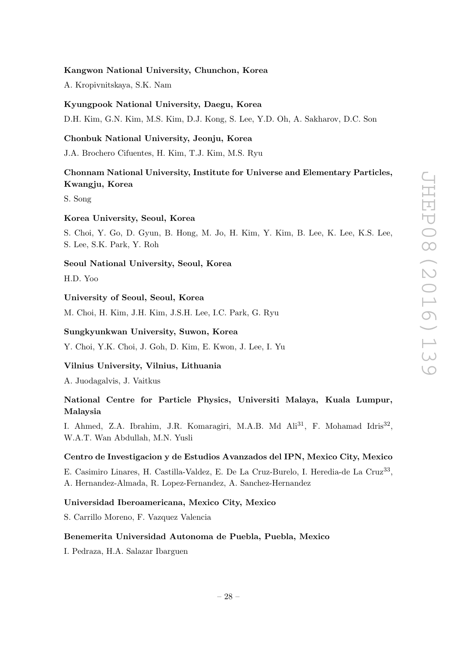### Kangwon National University, Chunchon, Korea

A. Kropivnitskaya, S.K. Nam

#### Kyungpook National University, Daegu, Korea

D.H. Kim, G.N. Kim, M.S. Kim, D.J. Kong, S. Lee, Y.D. Oh, A. Sakharov, D.C. Son

#### Chonbuk National University, Jeonju, Korea

J.A. Brochero Cifuentes, H. Kim, T.J. Kim, M.S. Ryu

## Chonnam National University, Institute for Universe and Elementary Particles, Kwangju, Korea

S. Song

### Korea University, Seoul, Korea

S. Choi, Y. Go, D. Gyun, B. Hong, M. Jo, H. Kim, Y. Kim, B. Lee, K. Lee, K.S. Lee, S. Lee, S.K. Park, Y. Roh

#### Seoul National University, Seoul, Korea

H.D. Yoo

## University of Seoul, Seoul, Korea

M. Choi, H. Kim, J.H. Kim, J.S.H. Lee, I.C. Park, G. Ryu

## Sungkyunkwan University, Suwon, Korea

Y. Choi, Y.K. Choi, J. Goh, D. Kim, E. Kwon, J. Lee, I. Yu

## Vilnius University, Vilnius, Lithuania

A. Juodagalvis, J. Vaitkus

## National Centre for Particle Physics, Universiti Malaya, Kuala Lumpur, Malaysia

I. Ahmed, Z.A. Ibrahim, J.R. Komaragiri, M.A.B. Md Ali<sup>31</sup>, F. Mohamad Idris<sup>32</sup>, W.A.T. Wan Abdullah, M.N. Yusli

### Centro de Investigacion y de Estudios Avanzados del IPN, Mexico City, Mexico

E. Casimiro Linares, H. Castilla-Valdez, E. De La Cruz-Burelo, I. Heredia-de La Cruz<sup>33</sup>, A. Hernandez-Almada, R. Lopez-Fernandez, A. Sanchez-Hernandez

### Universidad Iberoamericana, Mexico City, Mexico

S. Carrillo Moreno, F. Vazquez Valencia

#### Benemerita Universidad Autonoma de Puebla, Puebla, Mexico

I. Pedraza, H.A. Salazar Ibarguen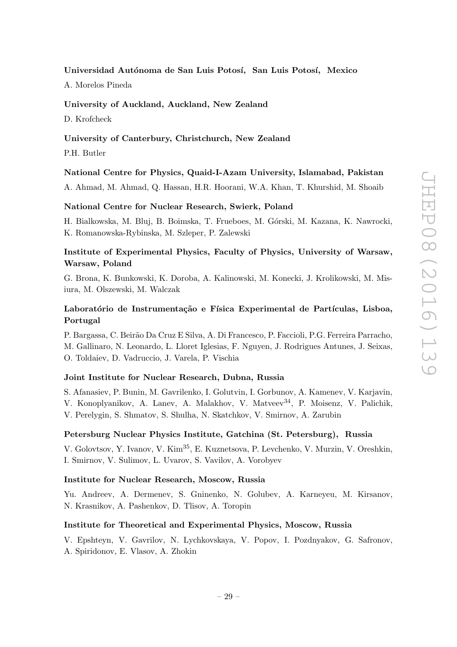### Universidad Autónoma de San Luis Potosí, San Luis Potosí, Mexico

A. Morelos Pineda

## University of Auckland, Auckland, New Zealand

D. Krofcheck

## University of Canterbury, Christchurch, New Zealand

P.H. Butler

### National Centre for Physics, Quaid-I-Azam University, Islamabad, Pakistan

A. Ahmad, M. Ahmad, Q. Hassan, H.R. Hoorani, W.A. Khan, T. Khurshid, M. Shoaib

#### National Centre for Nuclear Research, Swierk, Poland

H. Bialkowska, M. Bluj, B. Boimska, T. Frueboes, M. G´orski, M. Kazana, K. Nawrocki, K. Romanowska-Rybinska, M. Szleper, P. Zalewski

## Institute of Experimental Physics, Faculty of Physics, University of Warsaw, Warsaw, Poland

G. Brona, K. Bunkowski, K. Doroba, A. Kalinowski, M. Konecki, J. Krolikowski, M. Misiura, M. Olszewski, M. Walczak

## Laboratório de Instrumentação e Física Experimental de Partículas, Lisboa, Portugal

P. Bargassa, C. Beirão Da Cruz E Silva, A. Di Francesco, P. Faccioli, P.G. Ferreira Parracho, M. Gallinaro, N. Leonardo, L. Lloret Iglesias, F. Nguyen, J. Rodrigues Antunes, J. Seixas, O. Toldaiev, D. Vadruccio, J. Varela, P. Vischia

## Joint Institute for Nuclear Research, Dubna, Russia

S. Afanasiev, P. Bunin, M. Gavrilenko, I. Golutvin, I. Gorbunov, A. Kamenev, V. Karjavin, V. Konoplyanikov, A. Lanev, A. Malakhov, V. Matveev<sup>34</sup>, P. Moisenz, V. Palichik, V. Perelygin, S. Shmatov, S. Shulha, N. Skatchkov, V. Smirnov, A. Zarubin

## Petersburg Nuclear Physics Institute, Gatchina (St. Petersburg), Russia

V. Golovtsov, Y. Ivanov, V. Kim35, E. Kuznetsova, P. Levchenko, V. Murzin, V. Oreshkin, I. Smirnov, V. Sulimov, L. Uvarov, S. Vavilov, A. Vorobyev

### Institute for Nuclear Research, Moscow, Russia

Yu. Andreev, A. Dermenev, S. Gninenko, N. Golubev, A. Karneyeu, M. Kirsanov, N. Krasnikov, A. Pashenkov, D. Tlisov, A. Toropin

### Institute for Theoretical and Experimental Physics, Moscow, Russia

V. Epshteyn, V. Gavrilov, N. Lychkovskaya, V. Popov, I. Pozdnyakov, G. Safronov, A. Spiridonov, E. Vlasov, A. Zhokin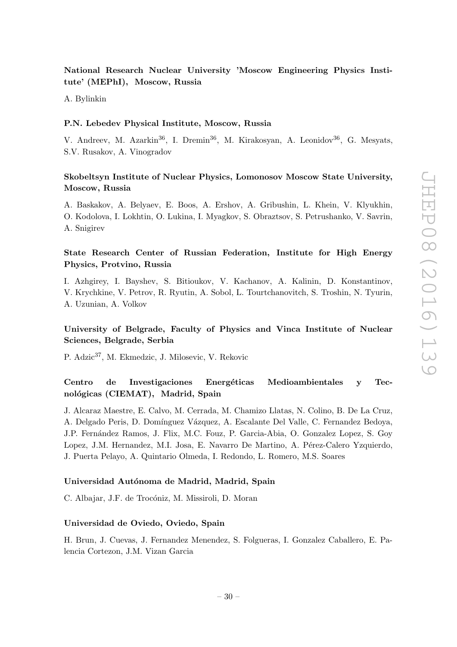National Research Nuclear University 'Moscow Engineering Physics Institute' (MEPhI), Moscow, Russia

A. Bylinkin

## P.N. Lebedev Physical Institute, Moscow, Russia

V. Andreev, M. Azarkin<sup>36</sup>, I. Dremin<sup>36</sup>, M. Kirakosyan, A. Leonidov<sup>36</sup>, G. Mesyats, S.V. Rusakov, A. Vinogradov

## Skobeltsyn Institute of Nuclear Physics, Lomonosov Moscow State University, Moscow, Russia

A. Baskakov, A. Belyaev, E. Boos, A. Ershov, A. Gribushin, L. Khein, V. Klyukhin, O. Kodolova, I. Lokhtin, O. Lukina, I. Myagkov, S. Obraztsov, S. Petrushanko, V. Savrin, A. Snigirev

## State Research Center of Russian Federation, Institute for High Energy Physics, Protvino, Russia

I. Azhgirey, I. Bayshev, S. Bitioukov, V. Kachanov, A. Kalinin, D. Konstantinov, V. Krychkine, V. Petrov, R. Ryutin, A. Sobol, L. Tourtchanovitch, S. Troshin, N. Tyurin, A. Uzunian, A. Volkov

## University of Belgrade, Faculty of Physics and Vinca Institute of Nuclear Sciences, Belgrade, Serbia

P. Adzic37, M. Ekmedzic, J. Milosevic, V. Rekovic

## Centro de Investigaciones Energéticas Medioambientales y Tecnológicas (CIEMAT), Madrid, Spain

J. Alcaraz Maestre, E. Calvo, M. Cerrada, M. Chamizo Llatas, N. Colino, B. De La Cruz, A. Delgado Peris, D. Domínguez Vázquez, A. Escalante Del Valle, C. Fernandez Bedoya, J.P. Fern´andez Ramos, J. Flix, M.C. Fouz, P. Garcia-Abia, O. Gonzalez Lopez, S. Goy Lopez, J.M. Hernandez, M.I. Josa, E. Navarro De Martino, A. Pérez-Calero Yzquierdo, J. Puerta Pelayo, A. Quintario Olmeda, I. Redondo, L. Romero, M.S. Soares

#### Universidad Autónoma de Madrid, Madrid, Spain

C. Albajar, J.F. de Trocóniz, M. Missiroli, D. Moran

#### Universidad de Oviedo, Oviedo, Spain

H. Brun, J. Cuevas, J. Fernandez Menendez, S. Folgueras, I. Gonzalez Caballero, E. Palencia Cortezon, J.M. Vizan Garcia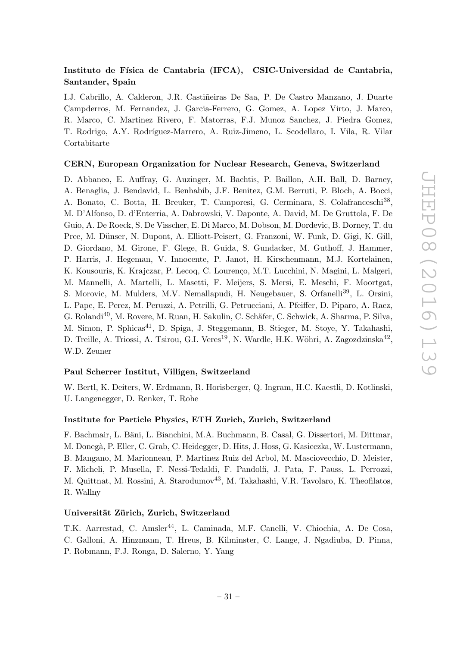## Instituto de Física de Cantabria (IFCA), CSIC-Universidad de Cantabria, Santander, Spain

I.J. Cabrillo, A. Calderon, J.R. Castiñeiras De Saa, P. De Castro Manzano, J. Duarte Campderros, M. Fernandez, J. Garcia-Ferrero, G. Gomez, A. Lopez Virto, J. Marco, R. Marco, C. Martinez Rivero, F. Matorras, F.J. Munoz Sanchez, J. Piedra Gomez, T. Rodrigo, A.Y. Rodríguez-Marrero, A. Ruiz-Jimeno, L. Scodellaro, I. Vila, R. Vilar Cortabitarte

### CERN, European Organization for Nuclear Research, Geneva, Switzerland

D. Abbaneo, E. Auffray, G. Auzinger, M. Bachtis, P. Baillon, A.H. Ball, D. Barney, A. Benaglia, J. Bendavid, L. Benhabib, J.F. Benitez, G.M. Berruti, P. Bloch, A. Bocci, A. Bonato, C. Botta, H. Breuker, T. Camporesi, G. Cerminara, S. Colafranceschi<sup>38</sup>, M. D'Alfonso, D. d'Enterria, A. Dabrowski, V. Daponte, A. David, M. De Gruttola, F. De Guio, A. De Roeck, S. De Visscher, E. Di Marco, M. Dobson, M. Dordevic, B. Dorney, T. du Pree, M. Dünser, N. Dupont, A. Elliott-Peisert, G. Franzoni, W. Funk, D. Gigi, K. Gill, D. Giordano, M. Girone, F. Glege, R. Guida, S. Gundacker, M. Guthoff, J. Hammer, P. Harris, J. Hegeman, V. Innocente, P. Janot, H. Kirschenmann, M.J. Kortelainen, K. Kousouris, K. Krajczar, P. Lecoq, C. Lourenço, M.T. Lucchini, N. Magini, L. Malgeri, M. Mannelli, A. Martelli, L. Masetti, F. Meijers, S. Mersi, E. Meschi, F. Moortgat, S. Morovic, M. Mulders, M.V. Nemallapudi, H. Neugebauer, S. Orfanelli39, L. Orsini, L. Pape, E. Perez, M. Peruzzi, A. Petrilli, G. Petrucciani, A. Pfeiffer, D. Piparo, A. Racz, G. Rolandi<sup>40</sup>, M. Rovere, M. Ruan, H. Sakulin, C. Schäfer, C. Schwick, A. Sharma, P. Silva, M. Simon, P. Sphicas<sup>41</sup>, D. Spiga, J. Steggemann, B. Stieger, M. Stoye, Y. Takahashi, D. Treille, A. Triossi, A. Tsirou, G.I. Veres<sup>19</sup>, N. Wardle, H.K. Wöhri, A. Zagozdzinska<sup>42</sup>, W.D. Zeuner

### Paul Scherrer Institut, Villigen, Switzerland

W. Bertl, K. Deiters, W. Erdmann, R. Horisberger, Q. Ingram, H.C. Kaestli, D. Kotlinski, U. Langenegger, D. Renker, T. Rohe

#### Institute for Particle Physics, ETH Zurich, Zurich, Switzerland

F. Bachmair, L. Bäni, L. Bianchini, M.A. Buchmann, B. Casal, G. Dissertori, M. Dittmar, M. Doneg`a, P. Eller, C. Grab, C. Heidegger, D. Hits, J. Hoss, G. Kasieczka, W. Lustermann, B. Mangano, M. Marionneau, P. Martinez Ruiz del Arbol, M. Masciovecchio, D. Meister, F. Micheli, P. Musella, F. Nessi-Tedaldi, F. Pandolfi, J. Pata, F. Pauss, L. Perrozzi, M. Quittnat, M. Rossini, A. Starodumov<sup>43</sup>, M. Takahashi, V.R. Tavolaro, K. Theofilatos, R. Wallny

### Universität Zürich, Zurich, Switzerland

T.K. Aarrestad, C. Amsler<sup>44</sup>, L. Caminada, M.F. Canelli, V. Chiochia, A. De Cosa, C. Galloni, A. Hinzmann, T. Hreus, B. Kilminster, C. Lange, J. Ngadiuba, D. Pinna, P. Robmann, F.J. Ronga, D. Salerno, Y. Yang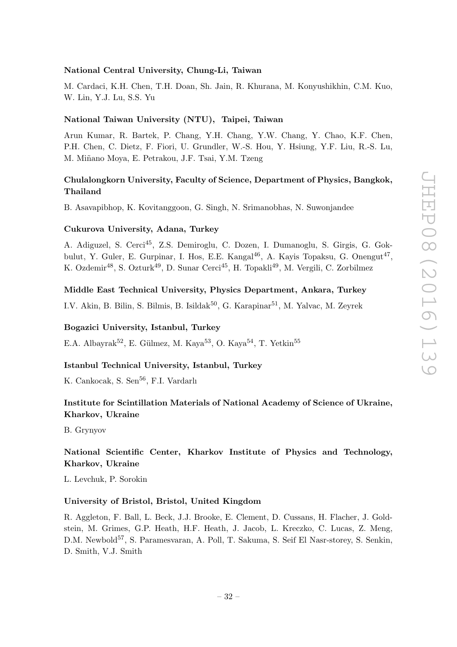### National Central University, Chung-Li, Taiwan

M. Cardaci, K.H. Chen, T.H. Doan, Sh. Jain, R. Khurana, M. Konyushikhin, C.M. Kuo, W. Lin, Y.J. Lu, S.S. Yu

#### National Taiwan University (NTU), Taipei, Taiwan

Arun Kumar, R. Bartek, P. Chang, Y.H. Chang, Y.W. Chang, Y. Chao, K.F. Chen, P.H. Chen, C. Dietz, F. Fiori, U. Grundler, W.-S. Hou, Y. Hsiung, Y.F. Liu, R.-S. Lu, M. Mi˜nano Moya, E. Petrakou, J.F. Tsai, Y.M. Tzeng

## Chulalongkorn University, Faculty of Science, Department of Physics, Bangkok, Thailand

B. Asavapibhop, K. Kovitanggoon, G. Singh, N. Srimanobhas, N. Suwonjandee

#### Cukurova University, Adana, Turkey

A. Adiguzel, S. Cerci45, Z.S. Demiroglu, C. Dozen, I. Dumanoglu, S. Girgis, G. Gokbulut, Y. Guler, E. Gurpinar, I. Hos, E.E. Kangal<sup>46</sup>, A. Kayis Topaksu, G. Onengut<sup>47</sup>, K. Ozdemir<sup>48</sup>, S. Ozturk<sup>49</sup>, D. Sunar Cerci<sup>45</sup>, H. Topakli<sup>49</sup>, M. Vergili, C. Zorbilmez

## Middle East Technical University, Physics Department, Ankara, Turkey

I.V. Akin, B. Bilin, S. Bilmis, B. Isildak<sup>50</sup>, G. Karapinar<sup>51</sup>, M. Yalvac, M. Zeyrek

### Bogazici University, Istanbul, Turkey

E.A. Albayrak<sup>52</sup>, E. Gülmez, M. Kaya<sup>53</sup>, O. Kaya<sup>54</sup>, T. Yetkin<sup>55</sup>

## Istanbul Technical University, Istanbul, Turkey

K. Cankocak, S. Sen<sup>56</sup>, F.I. Vardarlı

## Institute for Scintillation Materials of National Academy of Science of Ukraine, Kharkov, Ukraine

B. Grynyov

## National Scientific Center, Kharkov Institute of Physics and Technology, Kharkov, Ukraine

L. Levchuk, P. Sorokin

### University of Bristol, Bristol, United Kingdom

R. Aggleton, F. Ball, L. Beck, J.J. Brooke, E. Clement, D. Cussans, H. Flacher, J. Goldstein, M. Grimes, G.P. Heath, H.F. Heath, J. Jacob, L. Kreczko, C. Lucas, Z. Meng, D.M. Newbold<sup>57</sup>, S. Paramesvaran, A. Poll, T. Sakuma, S. Seif El Nasr-storey, S. Senkin, D. Smith, V.J. Smith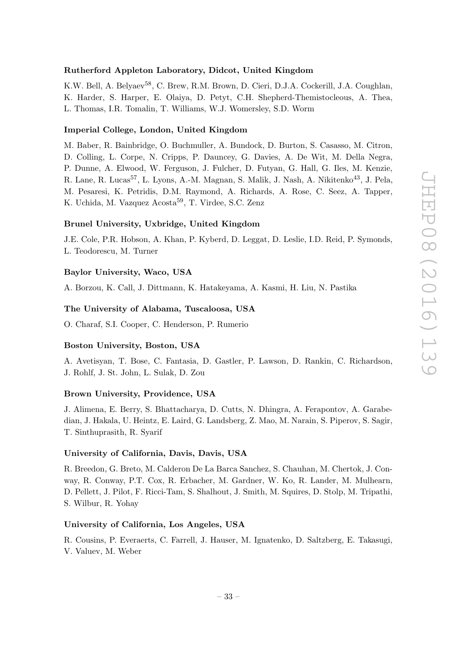### Rutherford Appleton Laboratory, Didcot, United Kingdom

K.W. Bell, A. Belyaev<sup>58</sup>, C. Brew, R.M. Brown, D. Cieri, D.J.A. Cockerill, J.A. Coughlan, K. Harder, S. Harper, E. Olaiya, D. Petyt, C.H. Shepherd-Themistocleous, A. Thea, L. Thomas, I.R. Tomalin, T. Williams, W.J. Womersley, S.D. Worm

### Imperial College, London, United Kingdom

M. Baber, R. Bainbridge, O. Buchmuller, A. Bundock, D. Burton, S. Casasso, M. Citron, D. Colling, L. Corpe, N. Cripps, P. Dauncey, G. Davies, A. De Wit, M. Della Negra, P. Dunne, A. Elwood, W. Ferguson, J. Fulcher, D. Futyan, G. Hall, G. Iles, M. Kenzie, R. Lane, R. Lucas<sup>57</sup>, L. Lyons, A.-M. Magnan, S. Malik, J. Nash, A. Nikitenko<sup>43</sup>, J. Pela, M. Pesaresi, K. Petridis, D.M. Raymond, A. Richards, A. Rose, C. Seez, A. Tapper, K. Uchida, M. Vazquez Acosta<sup>59</sup>, T. Virdee, S.C. Zenz

## Brunel University, Uxbridge, United Kingdom

J.E. Cole, P.R. Hobson, A. Khan, P. Kyberd, D. Leggat, D. Leslie, I.D. Reid, P. Symonds, L. Teodorescu, M. Turner

### Baylor University, Waco, USA

A. Borzou, K. Call, J. Dittmann, K. Hatakeyama, A. Kasmi, H. Liu, N. Pastika

### The University of Alabama, Tuscaloosa, USA

O. Charaf, S.I. Cooper, C. Henderson, P. Rumerio

## Boston University, Boston, USA

A. Avetisyan, T. Bose, C. Fantasia, D. Gastler, P. Lawson, D. Rankin, C. Richardson, J. Rohlf, J. St. John, L. Sulak, D. Zou

## Brown University, Providence, USA

J. Alimena, E. Berry, S. Bhattacharya, D. Cutts, N. Dhingra, A. Ferapontov, A. Garabedian, J. Hakala, U. Heintz, E. Laird, G. Landsberg, Z. Mao, M. Narain, S. Piperov, S. Sagir, T. Sinthuprasith, R. Syarif

## University of California, Davis, Davis, USA

R. Breedon, G. Breto, M. Calderon De La Barca Sanchez, S. Chauhan, M. Chertok, J. Conway, R. Conway, P.T. Cox, R. Erbacher, M. Gardner, W. Ko, R. Lander, M. Mulhearn, D. Pellett, J. Pilot, F. Ricci-Tam, S. Shalhout, J. Smith, M. Squires, D. Stolp, M. Tripathi, S. Wilbur, R. Yohay

## University of California, Los Angeles, USA

R. Cousins, P. Everaerts, C. Farrell, J. Hauser, M. Ignatenko, D. Saltzberg, E. Takasugi, V. Valuev, M. Weber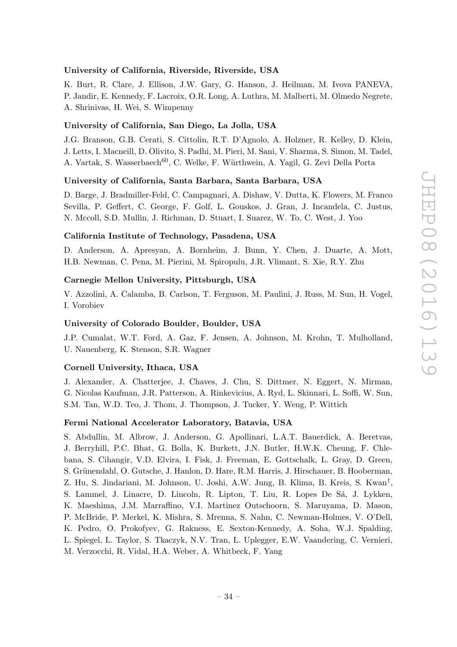#### University of California, Riverside, Riverside, USA

K. Burt, R. Clare, J. Ellison, J.W. Gary, G. Hanson, J. Heilman, M. Ivova PANEVA, P. Jandir, E. Kennedy, F. Lacroix, O.R. Long, A. Luthra, M. Malberti, M. Olmedo Negrete, A. Shrinivas, H. Wei, S. Wimpenny

## University of California, San Diego, La Jolla, USA

J.G. Branson, G.B. Cerati, S. Cittolin, R.T. D'Agnolo, A. Holzner, R. Kelley, D. Klein, J. Letts, I. Macneill, D. Olivito, S. Padhi, M. Pieri, M. Sani, V. Sharma, S. Simon, M. Tadel, A. Vartak, S. Wasserbaech<sup>60</sup>, C. Welke, F. Würthwein, A. Yagil, G. Zevi Della Porta

### University of California, Santa Barbara, Santa Barbara, USA

D. Barge, J. Bradmiller-Feld, C. Campagnari, A. Dishaw, V. Dutta, K. Flowers, M. Franco Sevilla, P. Geffert, C. George, F. Golf, L. Gouskos, J. Gran, J. Incandela, C. Justus, N. Mccoll, S.D. Mullin, J. Richman, D. Stuart, I. Suarez, W. To, C. West, J. Yoo

#### California Institute of Technology, Pasadena, USA

D. Anderson, A. Apresyan, A. Bornheim, J. Bunn, Y. Chen, J. Duarte, A. Mott, H.B. Newman, C. Pena, M. Pierini, M. Spiropulu, J.R. Vlimant, S. Xie, R.Y. Zhu

#### Carnegie Mellon University, Pittsburgh, USA

V. Azzolini, A. Calamba, B. Carlson, T. Ferguson, M. Paulini, J. Russ, M. Sun, H. Vogel, I. Vorobiev

## University of Colorado Boulder, Boulder, USA

J.P. Cumalat, W.T. Ford, A. Gaz, F. Jensen, A. Johnson, M. Krohn, T. Mulholland, U. Nauenberg, K. Stenson, S.R. Wagner

#### Cornell University, Ithaca, USA

J. Alexander, A. Chatterjee, J. Chaves, J. Chu, S. Dittmer, N. Eggert, N. Mirman, G. Nicolas Kaufman, J.R. Patterson, A. Rinkevicius, A. Ryd, L. Skinnari, L. Soffi, W. Sun, S.M. Tan, W.D. Teo, J. Thom, J. Thompson, J. Tucker, Y. Weng, P. Wittich

## Fermi National Accelerator Laboratory, Batavia, USA

S. Abdullin, M. Albrow, J. Anderson, G. Apollinari, L.A.T. Bauerdick, A. Beretvas, J. Berryhill, P.C. Bhat, G. Bolla, K. Burkett, J.N. Butler, H.W.K. Cheung, F. Chlebana, S. Cihangir, V.D. Elvira, I. Fisk, J. Freeman, E. Gottschalk, L. Gray, D. Green, S. Grünendahl, O. Gutsche, J. Hanlon, D. Hare, R.M. Harris, J. Hirschauer, B. Hooberman, Z. Hu, S. Jindariani, M. Johnson, U. Joshi, A.W. Jung, B. Klima, B. Kreis, S. Kwan† , S. Lammel, J. Linacre, D. Lincoln, R. Lipton, T. Liu, R. Lopes De Sá, J. Lykken, K. Maeshima, J.M. Marraffino, V.I. Martinez Outschoorn, S. Maruyama, D. Mason, P. McBride, P. Merkel, K. Mishra, S. Mrenna, S. Nahn, C. Newman-Holmes, V. O'Dell, K. Pedro, O. Prokofyev, G. Rakness, E. Sexton-Kennedy, A. Soha, W.J. Spalding, L. Spiegel, L. Taylor, S. Tkaczyk, N.V. Tran, L. Uplegger, E.W. Vaandering, C. Vernieri, M. Verzocchi, R. Vidal, H.A. Weber, A. Whitbeck, F. Yang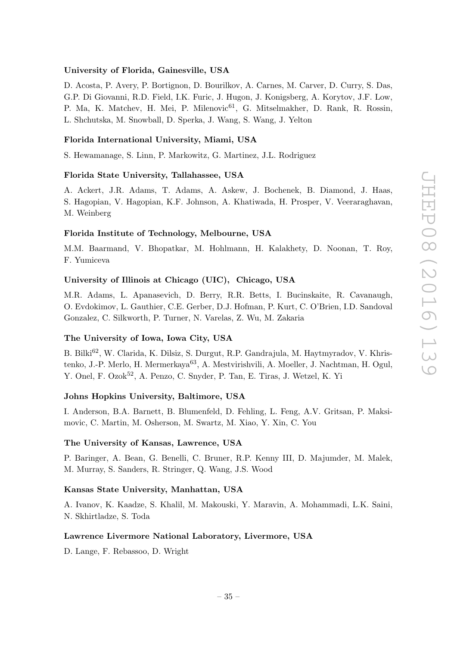## University of Florida, Gainesville, USA

D. Acosta, P. Avery, P. Bortignon, D. Bourilkov, A. Carnes, M. Carver, D. Curry, S. Das, G.P. Di Giovanni, R.D. Field, I.K. Furic, J. Hugon, J. Konigsberg, A. Korytov, J.F. Low, P. Ma, K. Matchev, H. Mei, P. Milenovic<sup>61</sup>, G. Mitselmakher, D. Rank, R. Rossin, L. Shchutska, M. Snowball, D. Sperka, J. Wang, S. Wang, J. Yelton

#### Florida International University, Miami, USA

S. Hewamanage, S. Linn, P. Markowitz, G. Martinez, J.L. Rodriguez

### Florida State University, Tallahassee, USA

A. Ackert, J.R. Adams, T. Adams, A. Askew, J. Bochenek, B. Diamond, J. Haas, S. Hagopian, V. Hagopian, K.F. Johnson, A. Khatiwada, H. Prosper, V. Veeraraghavan, M. Weinberg

## Florida Institute of Technology, Melbourne, USA

M.M. Baarmand, V. Bhopatkar, M. Hohlmann, H. Kalakhety, D. Noonan, T. Roy, F. Yumiceva

#### University of Illinois at Chicago (UIC), Chicago, USA

M.R. Adams, L. Apanasevich, D. Berry, R.R. Betts, I. Bucinskaite, R. Cavanaugh, O. Evdokimov, L. Gauthier, C.E. Gerber, D.J. Hofman, P. Kurt, C. O'Brien, I.D. Sandoval Gonzalez, C. Silkworth, P. Turner, N. Varelas, Z. Wu, M. Zakaria

## The University of Iowa, Iowa City, USA

B. Bilki<sup>62</sup>, W. Clarida, K. Dilsiz, S. Durgut, R.P. Gandrajula, M. Haytmyradov, V. Khristenko, J.-P. Merlo, H. Mermerkaya<sup>63</sup>, A. Mestvirishvili, A. Moeller, J. Nachtman, H. Ogul, Y. Onel, F. Ozok<sup>52</sup>, A. Penzo, C. Snyder, P. Tan, E. Tiras, J. Wetzel, K. Yi

### Johns Hopkins University, Baltimore, USA

I. Anderson, B.A. Barnett, B. Blumenfeld, D. Fehling, L. Feng, A.V. Gritsan, P. Maksimovic, C. Martin, M. Osherson, M. Swartz, M. Xiao, Y. Xin, C. You

### The University of Kansas, Lawrence, USA

P. Baringer, A. Bean, G. Benelli, C. Bruner, R.P. Kenny III, D. Majumder, M. Malek, M. Murray, S. Sanders, R. Stringer, Q. Wang, J.S. Wood

#### Kansas State University, Manhattan, USA

A. Ivanov, K. Kaadze, S. Khalil, M. Makouski, Y. Maravin, A. Mohammadi, L.K. Saini, N. Skhirtladze, S. Toda

#### Lawrence Livermore National Laboratory, Livermore, USA

D. Lange, F. Rebassoo, D. Wright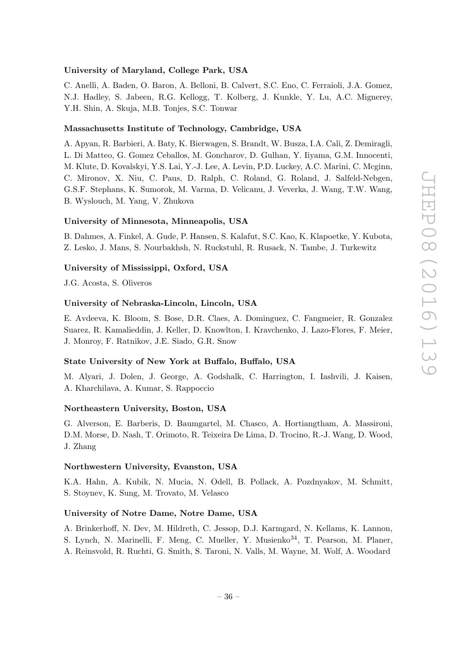## University of Maryland, College Park, USA

C. Anelli, A. Baden, O. Baron, A. Belloni, B. Calvert, S.C. Eno, C. Ferraioli, J.A. Gomez, N.J. Hadley, S. Jabeen, R.G. Kellogg, T. Kolberg, J. Kunkle, Y. Lu, A.C. Mignerey, Y.H. Shin, A. Skuja, M.B. Tonjes, S.C. Tonwar

#### Massachusetts Institute of Technology, Cambridge, USA

A. Apyan, R. Barbieri, A. Baty, K. Bierwagen, S. Brandt, W. Busza, I.A. Cali, Z. Demiragli, L. Di Matteo, G. Gomez Ceballos, M. Goncharov, D. Gulhan, Y. Iiyama, G.M. Innocenti, M. Klute, D. Kovalskyi, Y.S. Lai, Y.-J. Lee, A. Levin, P.D. Luckey, A.C. Marini, C. Mcginn, C. Mironov, X. Niu, C. Paus, D. Ralph, C. Roland, G. Roland, J. Salfeld-Nebgen, G.S.F. Stephans, K. Sumorok, M. Varma, D. Velicanu, J. Veverka, J. Wang, T.W. Wang, B. Wyslouch, M. Yang, V. Zhukova

#### University of Minnesota, Minneapolis, USA

B. Dahmes, A. Finkel, A. Gude, P. Hansen, S. Kalafut, S.C. Kao, K. Klapoetke, Y. Kubota, Z. Lesko, J. Mans, S. Nourbakhsh, N. Ruckstuhl, R. Rusack, N. Tambe, J. Turkewitz

## University of Mississippi, Oxford, USA

J.G. Acosta, S. Oliveros

#### University of Nebraska-Lincoln, Lincoln, USA

E. Avdeeva, K. Bloom, S. Bose, D.R. Claes, A. Dominguez, C. Fangmeier, R. Gonzalez Suarez, R. Kamalieddin, J. Keller, D. Knowlton, I. Kravchenko, J. Lazo-Flores, F. Meier, J. Monroy, F. Ratnikov, J.E. Siado, G.R. Snow

#### State University of New York at Buffalo, Buffalo, USA

M. Alyari, J. Dolen, J. George, A. Godshalk, C. Harrington, I. Iashvili, J. Kaisen, A. Kharchilava, A. Kumar, S. Rappoccio

### Northeastern University, Boston, USA

G. Alverson, E. Barberis, D. Baumgartel, M. Chasco, A. Hortiangtham, A. Massironi, D.M. Morse, D. Nash, T. Orimoto, R. Teixeira De Lima, D. Trocino, R.-J. Wang, D. Wood, J. Zhang

#### Northwestern University, Evanston, USA

K.A. Hahn, A. Kubik, N. Mucia, N. Odell, B. Pollack, A. Pozdnyakov, M. Schmitt, S. Stoynev, K. Sung, M. Trovato, M. Velasco

#### University of Notre Dame, Notre Dame, USA

A. Brinkerhoff, N. Dev, M. Hildreth, C. Jessop, D.J. Karmgard, N. Kellams, K. Lannon, S. Lynch, N. Marinelli, F. Meng, C. Mueller, Y. Musienko<sup>34</sup>, T. Pearson, M. Planer, A. Reinsvold, R. Ruchti, G. Smith, S. Taroni, N. Valls, M. Wayne, M. Wolf, A. Woodard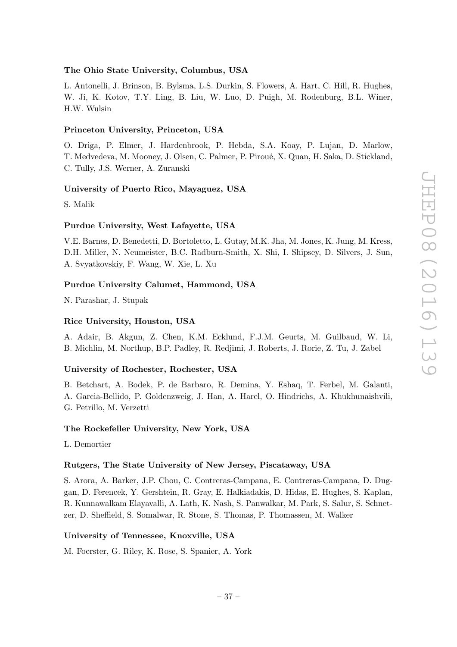### The Ohio State University, Columbus, USA

L. Antonelli, J. Brinson, B. Bylsma, L.S. Durkin, S. Flowers, A. Hart, C. Hill, R. Hughes, W. Ji, K. Kotov, T.Y. Ling, B. Liu, W. Luo, D. Puigh, M. Rodenburg, B.L. Winer, H.W. Wulsin

### Princeton University, Princeton, USA

O. Driga, P. Elmer, J. Hardenbrook, P. Hebda, S.A. Koay, P. Lujan, D. Marlow, T. Medvedeva, M. Mooney, J. Olsen, C. Palmer, P. Piroué, X. Quan, H. Saka, D. Stickland, C. Tully, J.S. Werner, A. Zuranski

#### University of Puerto Rico, Mayaguez, USA

S. Malik

#### Purdue University, West Lafayette, USA

V.E. Barnes, D. Benedetti, D. Bortoletto, L. Gutay, M.K. Jha, M. Jones, K. Jung, M. Kress, D.H. Miller, N. Neumeister, B.C. Radburn-Smith, X. Shi, I. Shipsey, D. Silvers, J. Sun, A. Svyatkovskiy, F. Wang, W. Xie, L. Xu

### Purdue University Calumet, Hammond, USA

N. Parashar, J. Stupak

#### Rice University, Houston, USA

A. Adair, B. Akgun, Z. Chen, K.M. Ecklund, F.J.M. Geurts, M. Guilbaud, W. Li, B. Michlin, M. Northup, B.P. Padley, R. Redjimi, J. Roberts, J. Rorie, Z. Tu, J. Zabel

## University of Rochester, Rochester, USA

B. Betchart, A. Bodek, P. de Barbaro, R. Demina, Y. Eshaq, T. Ferbel, M. Galanti, A. Garcia-Bellido, P. Goldenzweig, J. Han, A. Harel, O. Hindrichs, A. Khukhunaishvili, G. Petrillo, M. Verzetti

#### The Rockefeller University, New York, USA

L. Demortier

#### Rutgers, The State University of New Jersey, Piscataway, USA

S. Arora, A. Barker, J.P. Chou, C. Contreras-Campana, E. Contreras-Campana, D. Duggan, D. Ferencek, Y. Gershtein, R. Gray, E. Halkiadakis, D. Hidas, E. Hughes, S. Kaplan, R. Kunnawalkam Elayavalli, A. Lath, K. Nash, S. Panwalkar, M. Park, S. Salur, S. Schnetzer, D. Sheffield, S. Somalwar, R. Stone, S. Thomas, P. Thomassen, M. Walker

#### University of Tennessee, Knoxville, USA

M. Foerster, G. Riley, K. Rose, S. Spanier, A. York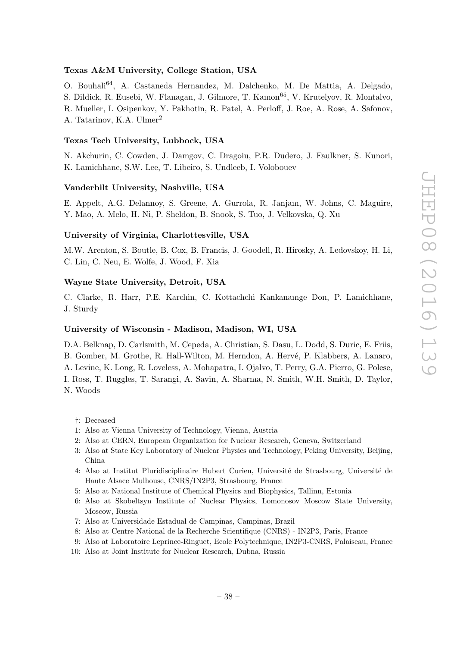### Texas A&M University, College Station, USA

O. Bouhali64, A. Castaneda Hernandez, M. Dalchenko, M. De Mattia, A. Delgado, S. Dildick, R. Eusebi, W. Flanagan, J. Gilmore, T. Kamon<sup>65</sup>, V. Krutelyov, R. Montalvo, R. Mueller, I. Osipenkov, Y. Pakhotin, R. Patel, A. Perloff, J. Roe, A. Rose, A. Safonov, A. Tatarinov, K.A. Ulmer<sup>2</sup>

#### Texas Tech University, Lubbock, USA

N. Akchurin, C. Cowden, J. Damgov, C. Dragoiu, P.R. Dudero, J. Faulkner, S. Kunori, K. Lamichhane, S.W. Lee, T. Libeiro, S. Undleeb, I. Volobouev

#### Vanderbilt University, Nashville, USA

E. Appelt, A.G. Delannoy, S. Greene, A. Gurrola, R. Janjam, W. Johns, C. Maguire, Y. Mao, A. Melo, H. Ni, P. Sheldon, B. Snook, S. Tuo, J. Velkovska, Q. Xu

#### University of Virginia, Charlottesville, USA

M.W. Arenton, S. Boutle, B. Cox, B. Francis, J. Goodell, R. Hirosky, A. Ledovskoy, H. Li, C. Lin, C. Neu, E. Wolfe, J. Wood, F. Xia

### Wayne State University, Detroit, USA

C. Clarke, R. Harr, P.E. Karchin, C. Kottachchi Kankanamge Don, P. Lamichhane, J. Sturdy

#### University of Wisconsin - Madison, Madison, WI, USA

D.A. Belknap, D. Carlsmith, M. Cepeda, A. Christian, S. Dasu, L. Dodd, S. Duric, E. Friis, B. Gomber, M. Grothe, R. Hall-Wilton, M. Herndon, A. Hervé, P. Klabbers, A. Lanaro, A. Levine, K. Long, R. Loveless, A. Mohapatra, I. Ojalvo, T. Perry, G.A. Pierro, G. Polese, I. Ross, T. Ruggles, T. Sarangi, A. Savin, A. Sharma, N. Smith, W.H. Smith, D. Taylor, N. Woods

- †: Deceased
- 1: Also at Vienna University of Technology, Vienna, Austria
- 2: Also at CERN, European Organization for Nuclear Research, Geneva, Switzerland
- 3: Also at State Key Laboratory of Nuclear Physics and Technology, Peking University, Beijing, China
- 4: Also at Institut Pluridisciplinaire Hubert Curien, Université de Strasbourg, Université de Haute Alsace Mulhouse, CNRS/IN2P3, Strasbourg, France
- 5: Also at National Institute of Chemical Physics and Biophysics, Tallinn, Estonia
- 6: Also at Skobeltsyn Institute of Nuclear Physics, Lomonosov Moscow State University, Moscow, Russia
- 7: Also at Universidade Estadual de Campinas, Campinas, Brazil
- 8: Also at Centre National de la Recherche Scientifique (CNRS) IN2P3, Paris, France
- 9: Also at Laboratoire Leprince-Ringuet, Ecole Polytechnique, IN2P3-CNRS, Palaiseau, France
- 10: Also at Joint Institute for Nuclear Research, Dubna, Russia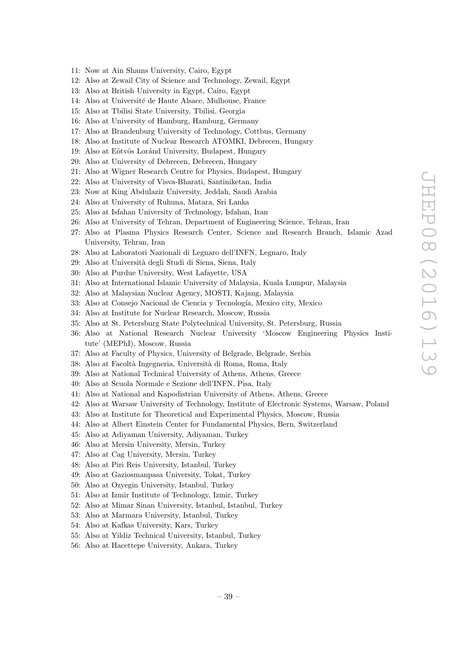- 11: Now at Ain Shams University, Cairo, Egypt
- 12: Also at Zewail City of Science and Technology, Zewail, Egypt
- 13: Also at British University in Egypt, Cairo, Egypt
- 14: Also at Université de Haute Alsace, Mulhouse, France
- 15: Also at Tbilisi State University, Tbilisi, Georgia
- 16: Also at University of Hamburg, Hamburg, Germany
- 17: Also at Brandenburg University of Technology, Cottbus, Germany
- 18: Also at Institute of Nuclear Research ATOMKI, Debrecen, Hungary
- 19: Also at Eötvös Loránd University, Budapest, Hungary
- 20: Also at University of Debrecen, Debrecen, Hungary
- 21: Also at Wigner Research Centre for Physics, Budapest, Hungary
- 22: Also at University of Visva-Bharati, Santiniketan, India
- 23: Now at King Abdulaziz University, Jeddah, Saudi Arabia
- 24: Also at University of Ruhuna, Matara, Sri Lanka
- 25: Also at Isfahan University of Technology, Isfahan, Iran
- 26: Also at University of Tehran, Department of Engineering Science, Tehran, Iran
- 27: Also at Plasma Physics Research Center, Science and Research Branch, Islamic Azad University, Tehran, Iran
- 28: Also at Laboratori Nazionali di Legnaro dell'INFN, Legnaro, Italy
- 29: Also at Universit`a degli Studi di Siena, Siena, Italy
- 30: Also at Purdue University, West Lafayette, USA
- 31: Also at International Islamic University of Malaysia, Kuala Lumpur, Malaysia
- 32: Also at Malaysian Nuclear Agency, MOSTI, Kajang, Malaysia
- 33: Also at Consejo Nacional de Ciencia y Tecnología, Mexico city, Mexico
- 34: Also at Institute for Nuclear Research, Moscow, Russia
- 35: Also at St. Petersburg State Polytechnical University, St. Petersburg, Russia
- 36: Also at National Research Nuclear University 'Moscow Engineering Physics Institute' (MEPhI), Moscow, Russia
- 37: Also at Faculty of Physics, University of Belgrade, Belgrade, Serbia
- 38: Also at Facoltà Ingegneria, Università di Roma, Roma, Italy
- 39: Also at National Technical University of Athens, Athens, Greece
- 40: Also at Scuola Normale e Sezione dell'INFN, Pisa, Italy
- 41: Also at National and Kapodistrian University of Athens, Athens, Greece
- 42: Also at Warsaw University of Technology, Institute of Electronic Systems, Warsaw, Poland
- 43: Also at Institute for Theoretical and Experimental Physics, Moscow, Russia
- 44: Also at Albert Einstein Center for Fundamental Physics, Bern, Switzerland
- 45: Also at Adiyaman University, Adiyaman, Turkey
- 46: Also at Mersin University, Mersin, Turkey
- 47: Also at Cag University, Mersin, Turkey
- 48: Also at Piri Reis University, Istanbul, Turkey
- 49: Also at Gaziosmanpasa University, Tokat, Turkey
- 50: Also at Ozyegin University, Istanbul, Turkey
- 51: Also at Izmir Institute of Technology, Izmir, Turkey
- 52: Also at Mimar Sinan University, Istanbul, Istanbul, Turkey
- 53: Also at Marmara University, Istanbul, Turkey
- 54: Also at Kafkas University, Kars, Turkey
- 55: Also at Yildiz Technical University, Istanbul, Turkey
- 56: Also at Hacettepe University, Ankara, Turkey